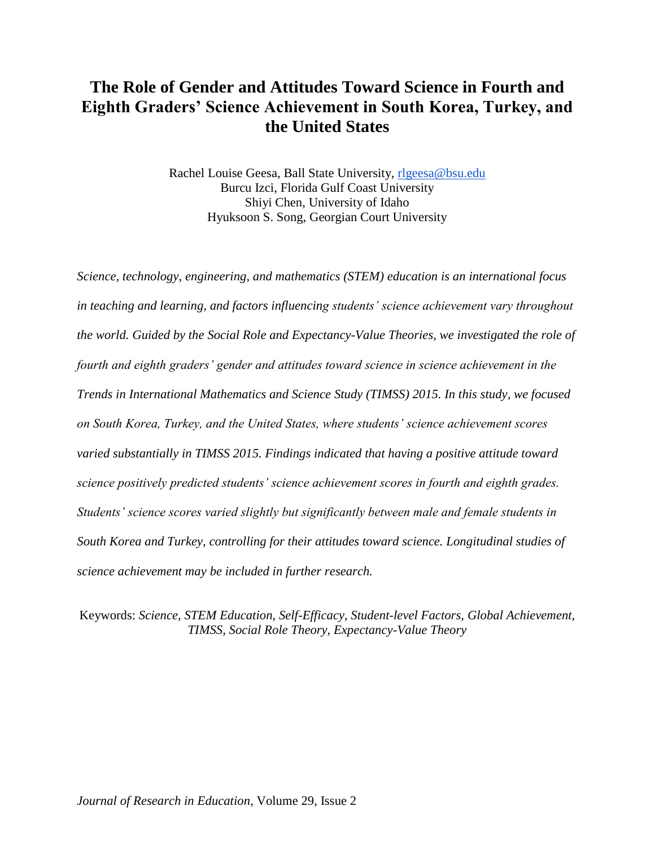# **The Role of Gender and Attitudes Toward Science in Fourth and Eighth Graders' Science Achievement in South Korea, Turkey, and the United States**

Rachel Louise Geesa, Ball State University, [rlgeesa@bsu.edu](mailto:rlgeesa@bsu.edu) Burcu Izci, Florida Gulf Coast University Shiyi Chen, University of Idaho Hyuksoon S. Song, Georgian Court University

*Science, technology, engineering, and mathematics (STEM) education is an international focus in teaching and learning, and factors influencing students' science achievement vary throughout the world. Guided by the Social Role and Expectancy-Value Theories, we investigated the role of fourth and eighth graders' gender and attitudes toward science in science achievement in the Trends in International Mathematics and Science Study (TIMSS) 2015. In this study, we focused on South Korea, Turkey, and the United States, where students' science achievement scores varied substantially in TIMSS 2015. Findings indicated that having a positive attitude toward science positively predicted students' science achievement scores in fourth and eighth grades. Students' science scores varied slightly but significantly between male and female students in South Korea and Turkey, controlling for their attitudes toward science. Longitudinal studies of science achievement may be included in further research.*

Keywords: *Science, STEM Education, Self-Efficacy, Student-level Factors, Global Achievement, TIMSS, Social Role Theory, Expectancy-Value Theory*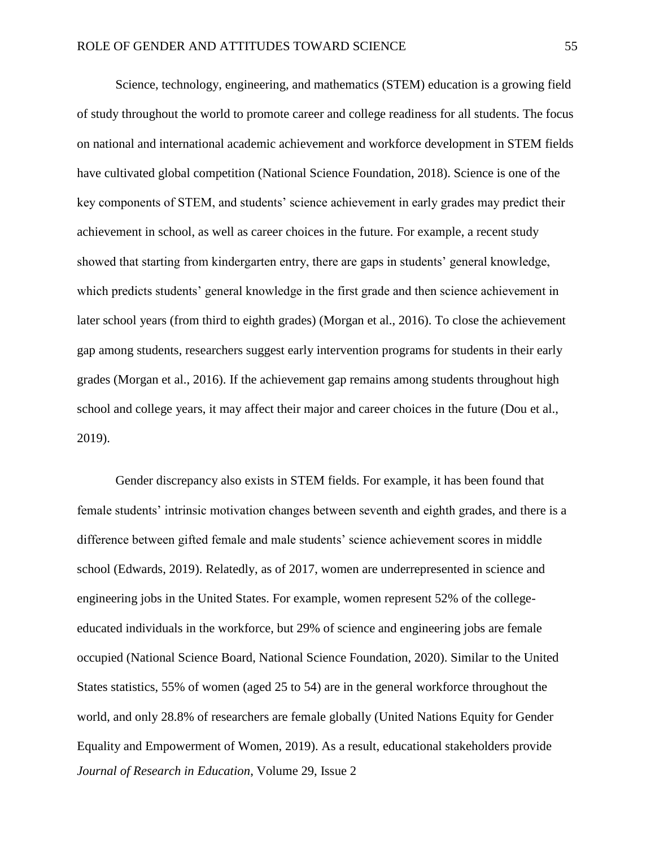Science, technology, engineering, and mathematics (STEM) education is a growing field of study throughout the world to promote career and college readiness for all students. The focus on national and international academic achievement and workforce development in STEM fields have cultivated global competition (National Science Foundation, 2018). Science is one of the key components of STEM, and students' science achievement in early grades may predict their achievement in school, as well as career choices in the future. For example, a recent study showed that starting from kindergarten entry, there are gaps in students' general knowledge, which predicts students' general knowledge in the first grade and then science achievement in later school years (from third to eighth grades) (Morgan et al., 2016). To close the achievement gap among students, researchers suggest early intervention programs for students in their early grades (Morgan et al., 2016). If the achievement gap remains among students throughout high school and college years, it may affect their major and career choices in the future (Dou et al., 2019).

*Journal of Research in Education*, Volume 29, Issue 2 Gender discrepancy also exists in STEM fields. For example, it has been found that female students' intrinsic motivation changes between seventh and eighth grades, and there is a difference between gifted female and male students' science achievement scores in middle school (Edwards, 2019). Relatedly, as of 2017, women are underrepresented in science and engineering jobs in the United States. For example, women represent 52% of the collegeeducated individuals in the workforce, but 29% of science and engineering jobs are female occupied (National Science Board, National Science Foundation, 2020). Similar to the United States statistics, 55% of women (aged 25 to 54) are in the general workforce throughout the world, and only 28.8% of researchers are female globally (United Nations Equity for Gender Equality and Empowerment of Women, 2019). As a result, educational stakeholders provide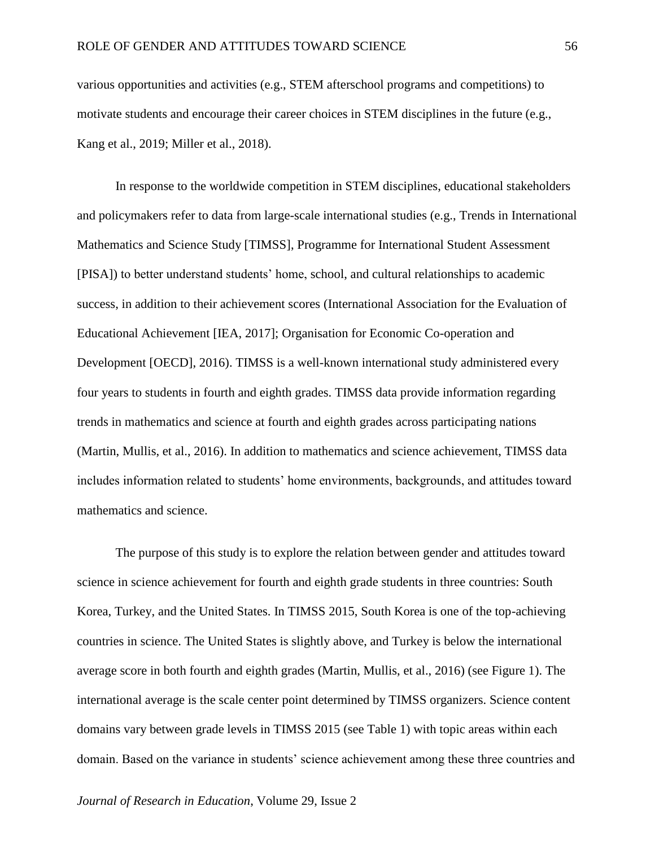various opportunities and activities (e.g., STEM afterschool programs and competitions) to motivate students and encourage their career choices in STEM disciplines in the future (e.g., Kang et al., 2019; Miller et al., 2018).

In response to the worldwide competition in STEM disciplines, educational stakeholders and policymakers refer to data from large-scale international studies (e.g., Trends in International Mathematics and Science Study [TIMSS], Programme for International Student Assessment [PISA]) to better understand students' home, school, and cultural relationships to academic success, in addition to their achievement scores (International Association for the Evaluation of Educational Achievement [IEA, 2017]; Organisation for Economic Co-operation and Development [OECD], 2016). TIMSS is a well-known international study administered every four years to students in fourth and eighth grades. TIMSS data provide information regarding trends in mathematics and science at fourth and eighth grades across participating nations (Martin, Mullis, et al., 2016). In addition to mathematics and science achievement, TIMSS data includes information related to students' home environments, backgrounds, and attitudes toward mathematics and science.

The purpose of this study is to explore the relation between gender and attitudes toward science in science achievement for fourth and eighth grade students in three countries: South Korea, Turkey, and the United States. In TIMSS 2015, South Korea is one of the top-achieving countries in science. The United States is slightly above, and Turkey is below the international average score in both fourth and eighth grades (Martin, Mullis, et al., 2016) (see Figure 1). The international average is the scale center point determined by TIMSS organizers. Science content domains vary between grade levels in TIMSS 2015 (see Table 1) with topic areas within each domain. Based on the variance in students' science achievement among these three countries and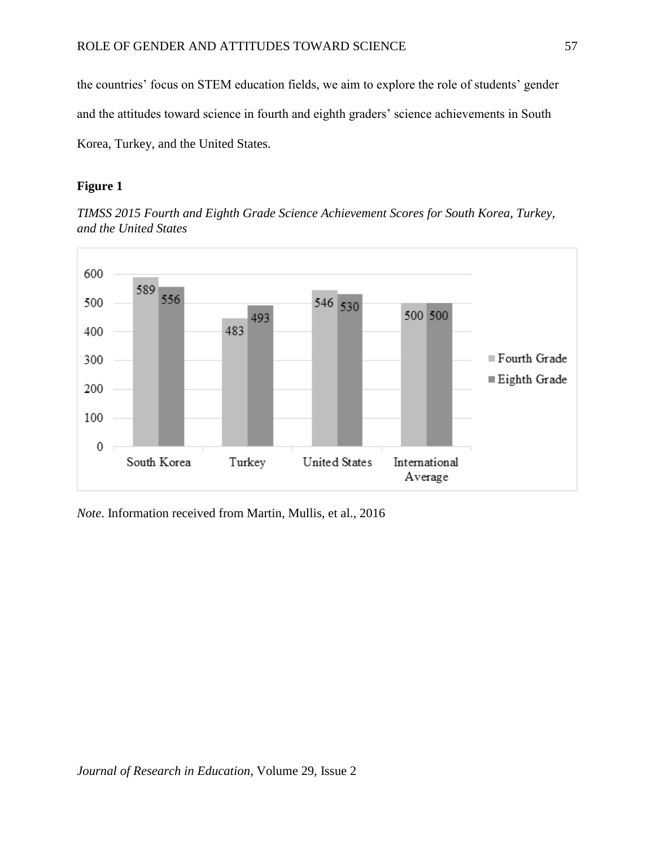the countries' focus on STEM education fields, we aim to explore the role of students' gender and the attitudes toward science in fourth and eighth graders' science achievements in South Korea, Turkey, and the United States.

### **Figure 1**

*TIMSS 2015 Fourth and Eighth Grade Science Achievement Scores for South Korea, Turkey, and the United States*



*Note*. Information received from Martin, Mullis, et al., 2016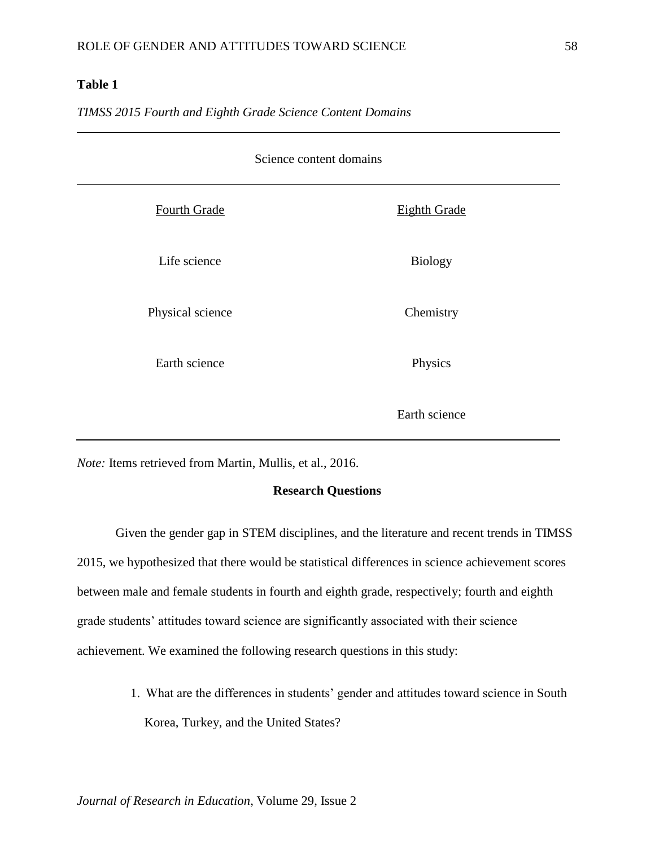# **Table 1**

*TIMSS 2015 Fourth and Eighth Grade Science Content Domains*

| Science content domains |                     |  |  |  |
|-------------------------|---------------------|--|--|--|
| Fourth Grade            | <b>Eighth Grade</b> |  |  |  |
| Life science            | <b>Biology</b>      |  |  |  |
| Physical science        | Chemistry           |  |  |  |
| Earth science           | Physics             |  |  |  |
|                         | Earth science       |  |  |  |

*Note:* Items retrieved from Martin, Mullis, et al., 2016.

#### **Research Questions**

Given the gender gap in STEM disciplines, and the literature and recent trends in TIMSS 2015, we hypothesized that there would be statistical differences in science achievement scores between male and female students in fourth and eighth grade, respectively; fourth and eighth grade students' attitudes toward science are significantly associated with their science achievement. We examined the following research questions in this study:

> 1. What are the differences in students' gender and attitudes toward science in South Korea, Turkey, and the United States?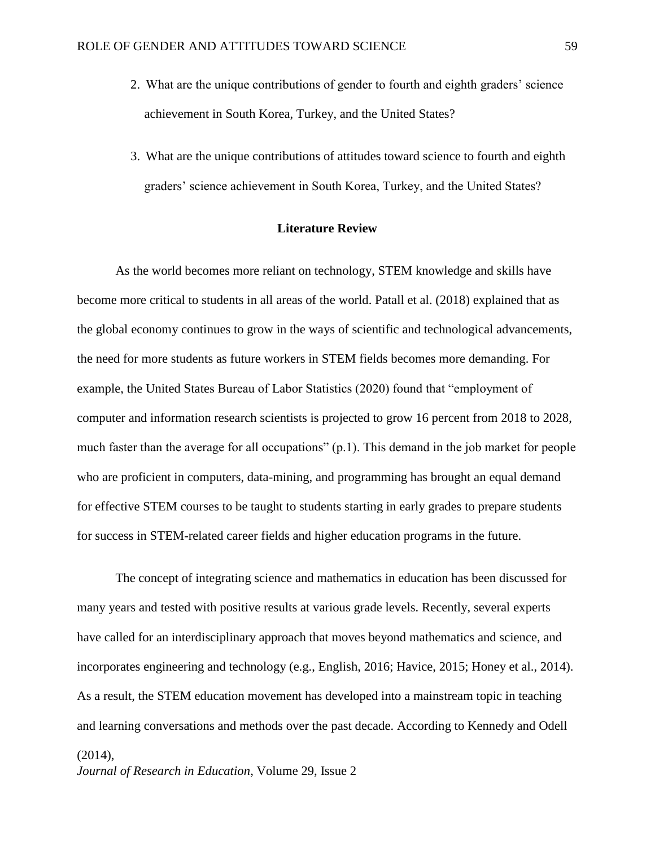- 2. What are the unique contributions of gender to fourth and eighth graders' science achievement in South Korea, Turkey, and the United States?
- 3. What are the unique contributions of attitudes toward science to fourth and eighth graders' science achievement in South Korea, Turkey, and the United States?

### **Literature Review**

As the world becomes more reliant on technology, STEM knowledge and skills have become more critical to students in all areas of the world. Patall et al. (2018) explained that as the global economy continues to grow in the ways of scientific and technological advancements, the need for more students as future workers in STEM fields becomes more demanding. For example, the United States Bureau of Labor Statistics (2020) found that "employment of computer and information research scientists is projected to grow 16 percent from 2018 to 2028, much faster than the average for all occupations" (p.1). This demand in the job market for people who are proficient in computers, data-mining, and programming has brought an equal demand for effective STEM courses to be taught to students starting in early grades to prepare students for success in STEM-related career fields and higher education programs in the future.

The concept of integrating science and mathematics in education has been discussed for many years and tested with positive results at various grade levels. Recently, several experts have called for an interdisciplinary approach that moves beyond mathematics and science, and incorporates engineering and technology (e.g., English, 2016; Havice, 2015; Honey et al., 2014). As a result, the STEM education movement has developed into a mainstream topic in teaching and learning conversations and methods over the past decade. According to Kennedy and Odell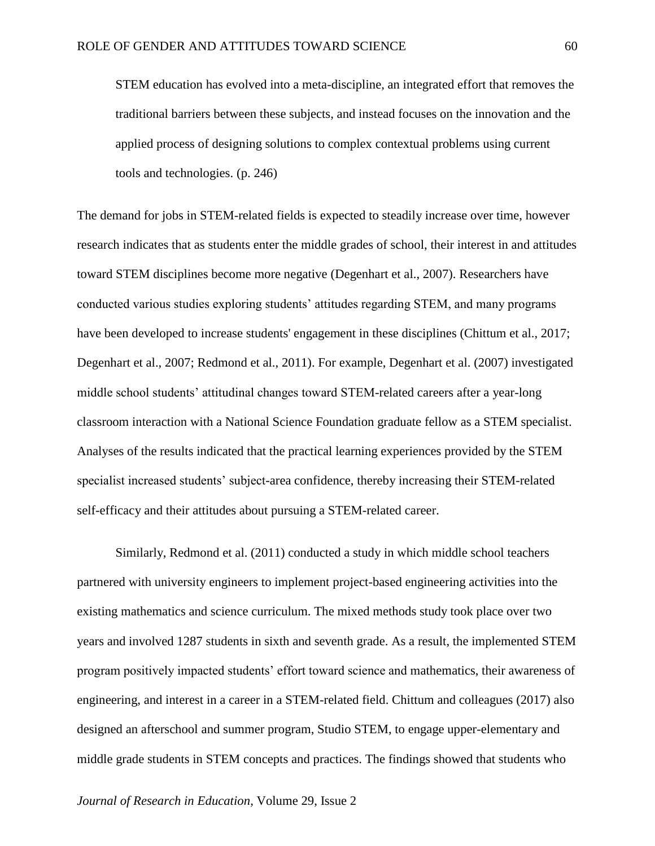STEM education has evolved into a meta-discipline, an integrated effort that removes the traditional barriers between these subjects, and instead focuses on the innovation and the applied process of designing solutions to complex contextual problems using current tools and technologies. (p. 246)

The demand for jobs in STEM-related fields is expected to steadily increase over time, however research indicates that as students enter the middle grades of school, their interest in and attitudes toward STEM disciplines become more negative (Degenhart et al., 2007). Researchers have conducted various studies exploring students' attitudes regarding STEM, and many programs have been developed to increase students' engagement in these disciplines (Chittum et al., 2017; Degenhart et al., 2007; Redmond et al., 2011). For example, Degenhart et al. (2007) investigated middle school students' attitudinal changes toward STEM-related careers after a year-long classroom interaction with a National Science Foundation graduate fellow as a STEM specialist. Analyses of the results indicated that the practical learning experiences provided by the STEM specialist increased students' subject-area confidence, thereby increasing their STEM-related self-efficacy and their attitudes about pursuing a STEM-related career.

Similarly, Redmond et al. (2011) conducted a study in which middle school teachers partnered with university engineers to implement project-based engineering activities into the existing mathematics and science curriculum. The mixed methods study took place over two years and involved 1287 students in sixth and seventh grade. As a result, the implemented STEM program positively impacted students' effort toward science and mathematics, their awareness of engineering, and interest in a career in a STEM-related field. Chittum and colleagues (2017) also designed an afterschool and summer program, Studio STEM, to engage upper-elementary and middle grade students in STEM concepts and practices. The findings showed that students who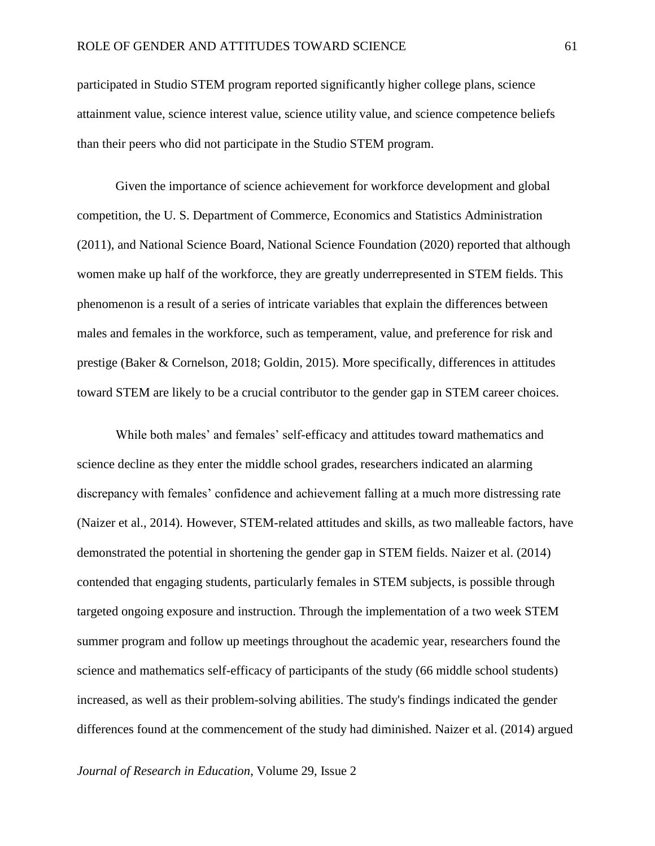participated in Studio STEM program reported significantly higher college plans, science attainment value, science interest value, science utility value, and science competence beliefs than their peers who did not participate in the Studio STEM program.

Given the importance of science achievement for workforce development and global competition, the U. S. Department of Commerce, Economics and Statistics Administration (2011), and National Science Board, National Science Foundation (2020) reported that although women make up half of the workforce, they are greatly underrepresented in STEM fields. This phenomenon is a result of a series of intricate variables that explain the differences between males and females in the workforce, such as temperament, value, and preference for risk and prestige (Baker & Cornelson, 2018; Goldin, 2015). More specifically, differences in attitudes toward STEM are likely to be a crucial contributor to the gender gap in STEM career choices.

While both males' and females' self-efficacy and attitudes toward mathematics and science decline as they enter the middle school grades, researchers indicated an alarming discrepancy with females' confidence and achievement falling at a much more distressing rate (Naizer et al., 2014). However, STEM-related attitudes and skills, as two malleable factors, have demonstrated the potential in shortening the gender gap in STEM fields. Naizer et al. (2014) contended that engaging students, particularly females in STEM subjects, is possible through targeted ongoing exposure and instruction. Through the implementation of a two week STEM summer program and follow up meetings throughout the academic year, researchers found the science and mathematics self-efficacy of participants of the study (66 middle school students) increased, as well as their problem-solving abilities. The study's findings indicated the gender differences found at the commencement of the study had diminished. Naizer et al. (2014) argued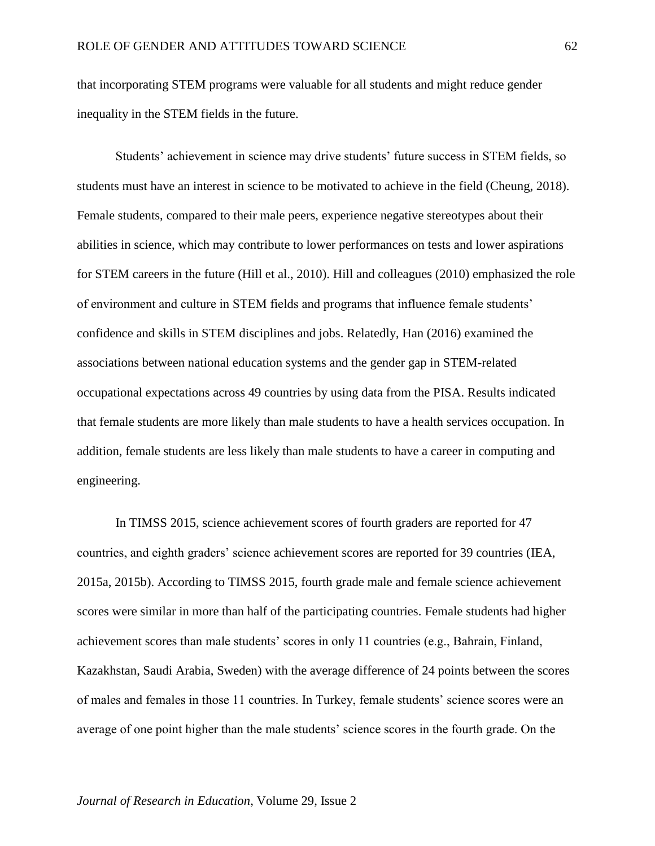that incorporating STEM programs were valuable for all students and might reduce gender inequality in the STEM fields in the future.

Students' achievement in science may drive students' future success in STEM fields, so students must have an interest in science to be motivated to achieve in the field (Cheung, 2018). Female students, compared to their male peers, experience negative stereotypes about their abilities in science, which may contribute to lower performances on tests and lower aspirations for STEM careers in the future (Hill et al., 2010). Hill and colleagues (2010) emphasized the role of environment and culture in STEM fields and programs that influence female students' confidence and skills in STEM disciplines and jobs. Relatedly, Han (2016) examined the associations between national education systems and the gender gap in STEM-related occupational expectations across 49 countries by using data from the PISA. Results indicated that female students are more likely than male students to have a health services occupation. In addition, female students are less likely than male students to have a career in computing and engineering.

In TIMSS 2015, science achievement scores of fourth graders are reported for 47 countries, and eighth graders' science achievement scores are reported for 39 countries (IEA, 2015a, 2015b). According to TIMSS 2015, fourth grade male and female science achievement scores were similar in more than half of the participating countries. Female students had higher achievement scores than male students' scores in only 11 countries (e.g., Bahrain, Finland, Kazakhstan, Saudi Arabia, Sweden) with the average difference of 24 points between the scores of males and females in those 11 countries. In Turkey, female students' science scores were an average of one point higher than the male students' science scores in the fourth grade. On the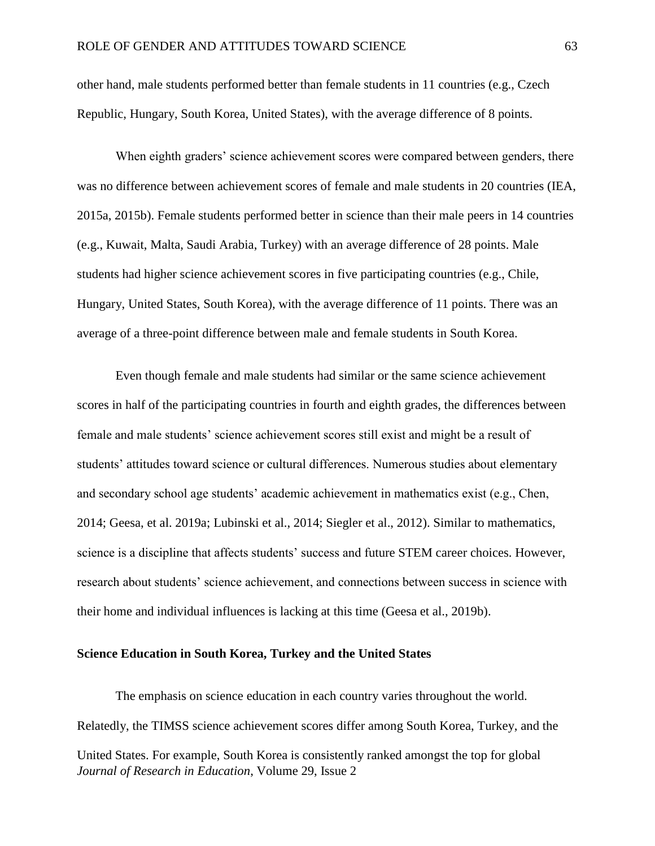other hand, male students performed better than female students in 11 countries (e.g., Czech Republic, Hungary, South Korea, United States), with the average difference of 8 points.

When eighth graders' science achievement scores were compared between genders, there was no difference between achievement scores of female and male students in 20 countries (IEA, 2015a, 2015b). Female students performed better in science than their male peers in 14 countries (e.g., Kuwait, Malta, Saudi Arabia, Turkey) with an average difference of 28 points. Male students had higher science achievement scores in five participating countries (e.g., Chile, Hungary, United States, South Korea), with the average difference of 11 points. There was an average of a three-point difference between male and female students in South Korea.

Even though female and male students had similar or the same science achievement scores in half of the participating countries in fourth and eighth grades, the differences between female and male students' science achievement scores still exist and might be a result of students' attitudes toward science or cultural differences. Numerous studies about elementary and secondary school age students' academic achievement in mathematics exist (e.g., Chen, 2014; Geesa, et al. 2019a; Lubinski et al., 2014; Siegler et al., 2012). Similar to mathematics, science is a discipline that affects students' success and future STEM career choices. However, research about students' science achievement, and connections between success in science with their home and individual influences is lacking at this time (Geesa et al., 2019b).

#### **Science Education in South Korea, Turkey and the United States**

*Journal of Research in Education*, Volume 29, Issue 2 The emphasis on science education in each country varies throughout the world. Relatedly, the TIMSS science achievement scores differ among South Korea, Turkey, and the United States. For example, South Korea is consistently ranked amongst the top for global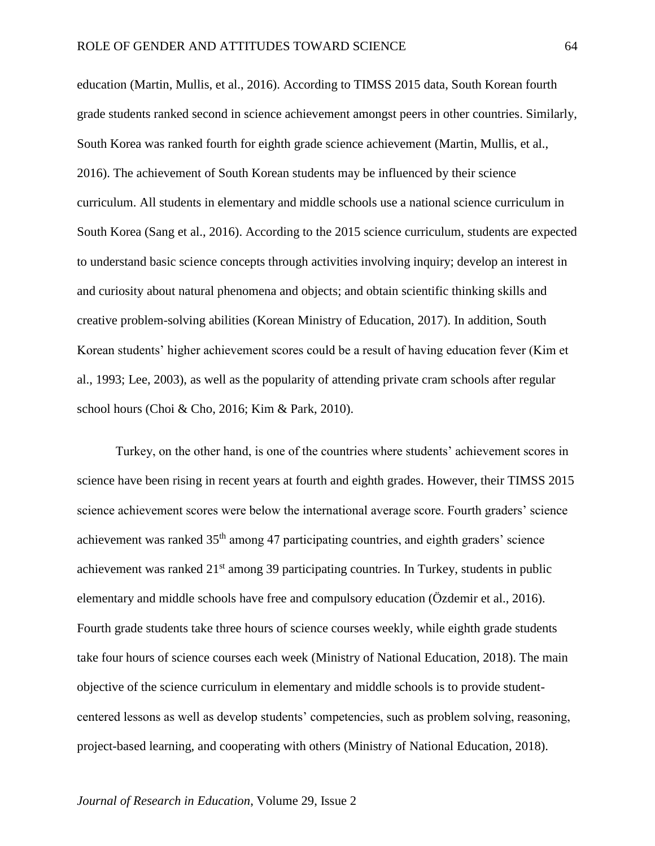education (Martin, Mullis, et al., 2016). According to TIMSS 2015 data, South Korean fourth grade students ranked second in science achievement amongst peers in other countries. Similarly, South Korea was ranked fourth for eighth grade science achievement (Martin, Mullis, et al., 2016). The achievement of South Korean students may be influenced by their science curriculum. All students in elementary and middle schools use a national science curriculum in South Korea (Sang et al., 2016). According to the 2015 science curriculum, students are expected to understand basic science concepts through activities involving inquiry; develop an interest in and curiosity about natural phenomena and objects; and obtain scientific thinking skills and creative problem-solving abilities (Korean Ministry of Education, 2017). In addition, South Korean students' higher achievement scores could be a result of having education fever (Kim et al., 1993; Lee, 2003), as well as the popularity of attending private cram schools after regular school hours (Choi & Cho, 2016; Kim & Park, 2010).

Turkey, on the other hand, is one of the countries where students' achievement scores in science have been rising in recent years at fourth and eighth grades. However, their TIMSS 2015 science achievement scores were below the international average score. Fourth graders' science achievement was ranked  $35<sup>th</sup>$  among 47 participating countries, and eighth graders' science achievement was ranked  $21<sup>st</sup>$  among 39 participating countries. In Turkey, students in public elementary and middle schools have free and compulsory education (Özdemir et al., 2016). Fourth grade students take three hours of science courses weekly, while eighth grade students take four hours of science courses each week (Ministry of National Education, 2018). The main objective of the science curriculum in elementary and middle schools is to provide studentcentered lessons as well as develop students' competencies, such as problem solving, reasoning, project-based learning, and cooperating with others (Ministry of National Education, 2018).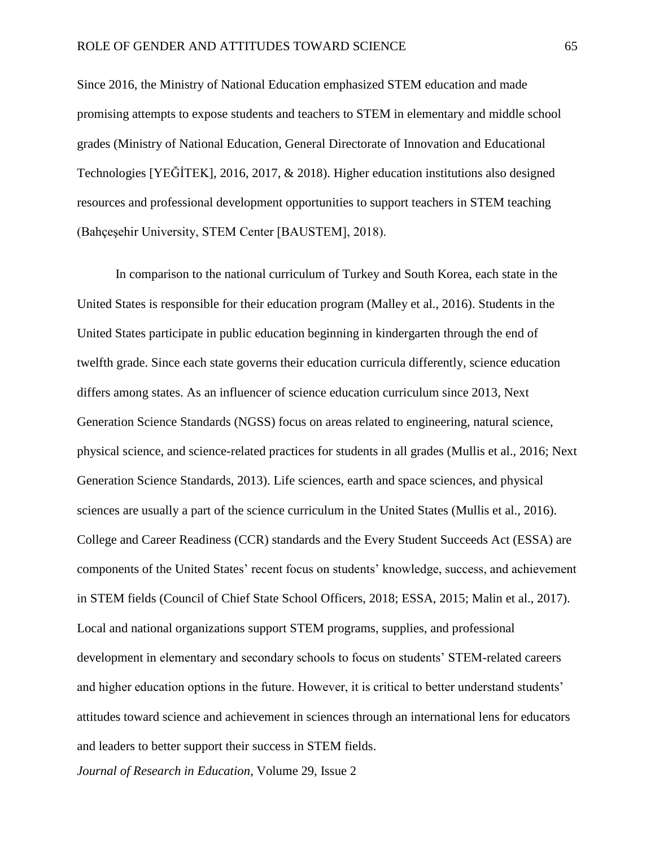Since 2016, the Ministry of National Education emphasized STEM education and made promising attempts to expose students and teachers to STEM in elementary and middle school grades (Ministry of National Education, General Directorate of Innovation and Educational Technologies [YEĞİTEK], 2016, 2017, & 2018). Higher education institutions also designed resources and professional development opportunities to support teachers in STEM teaching (Bahçeşehir University, STEM Center [BAUSTEM], 2018).

In comparison to the national curriculum of Turkey and South Korea, each state in the United States is responsible for their education program (Malley et al., 2016). Students in the United States participate in public education beginning in kindergarten through the end of twelfth grade. Since each state governs their education curricula differently, science education differs among states. As an influencer of science education curriculum since 2013, Next Generation Science Standards (NGSS) focus on areas related to engineering, natural science, physical science, and science-related practices for students in all grades (Mullis et al., 2016; Next Generation Science Standards, 2013). Life sciences, earth and space sciences, and physical sciences are usually a part of the science curriculum in the United States (Mullis et al., 2016). College and Career Readiness (CCR) standards and the Every Student Succeeds Act (ESSA) are components of the United States' recent focus on students' knowledge, success, and achievement in STEM fields (Council of Chief State School Officers, 2018; ESSA, 2015; Malin et al., 2017). Local and national organizations support STEM programs, supplies, and professional development in elementary and secondary schools to focus on students' STEM-related careers and higher education options in the future. However, it is critical to better understand students' attitudes toward science and achievement in sciences through an international lens for educators and leaders to better support their success in STEM fields.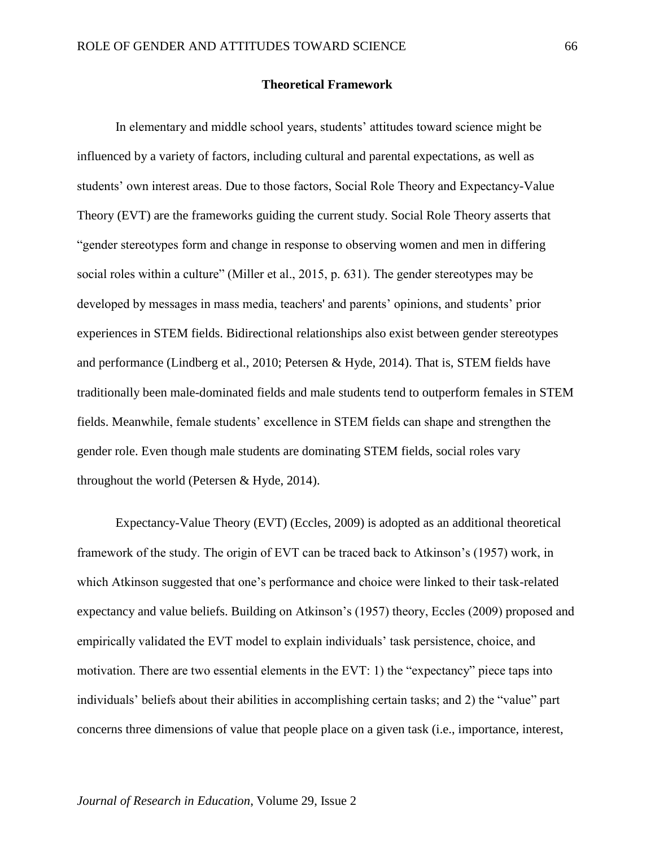#### **Theoretical Framework**

In elementary and middle school years, students' attitudes toward science might be influenced by a variety of factors, including cultural and parental expectations, as well as students' own interest areas. Due to those factors, Social Role Theory and Expectancy-Value Theory (EVT) are the frameworks guiding the current study. Social Role Theory asserts that "gender stereotypes form and change in response to observing women and men in differing social roles within a culture" (Miller et al., 2015, p. 631). The gender stereotypes may be developed by messages in mass media, teachers' and parents' opinions, and students' prior experiences in STEM fields. Bidirectional relationships also exist between gender stereotypes and performance (Lindberg et al., 2010; Petersen & Hyde, 2014). That is, STEM fields have traditionally been male-dominated fields and male students tend to outperform females in STEM fields. Meanwhile, female students' excellence in STEM fields can shape and strengthen the gender role. Even though male students are dominating STEM fields, social roles vary throughout the world (Petersen & Hyde, 2014).

Expectancy-Value Theory (EVT) (Eccles, 2009) is adopted as an additional theoretical framework of the study. The origin of EVT can be traced back to Atkinson's (1957) work, in which Atkinson suggested that one's performance and choice were linked to their task-related expectancy and value beliefs. Building on Atkinson's (1957) theory, Eccles (2009) proposed and empirically validated the EVT model to explain individuals' task persistence, choice, and motivation. There are two essential elements in the EVT: 1) the "expectancy" piece taps into individuals' beliefs about their abilities in accomplishing certain tasks; and 2) the "value" part concerns three dimensions of value that people place on a given task (i.e., importance, interest,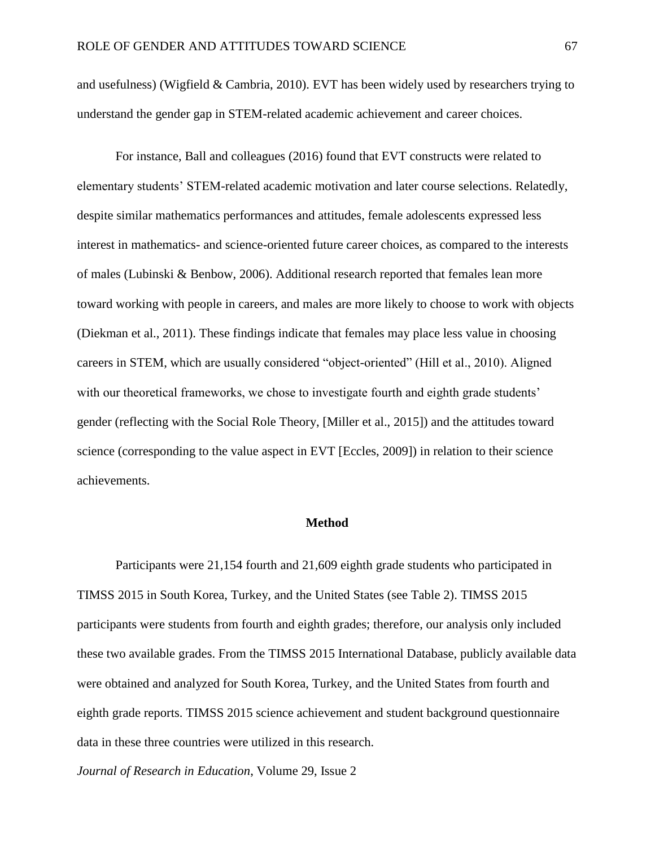and usefulness) (Wigfield  $&$  Cambria, 2010). EVT has been widely used by researchers trying to understand the gender gap in STEM-related academic achievement and career choices.

For instance, Ball and colleagues (2016) found that EVT constructs were related to elementary students' STEM-related academic motivation and later course selections. Relatedly, despite similar mathematics performances and attitudes, female adolescents expressed less interest in mathematics- and science-oriented future career choices, as compared to the interests of males (Lubinski & Benbow, 2006). Additional research reported that females lean more toward working with people in careers, and males are more likely to choose to work with objects (Diekman et al., 2011). These findings indicate that females may place less value in choosing careers in STEM, which are usually considered "object-oriented" (Hill et al., 2010). Aligned with our theoretical frameworks, we chose to investigate fourth and eighth grade students' gender (reflecting with the Social Role Theory, [Miller et al., 2015]) and the attitudes toward science (corresponding to the value aspect in EVT [Eccles, 2009]) in relation to their science achievements.

## **Method**

Participants were 21,154 fourth and 21,609 eighth grade students who participated in TIMSS 2015 in South Korea, Turkey, and the United States (see Table 2). TIMSS 2015 participants were students from fourth and eighth grades; therefore, our analysis only included these two available grades. From the TIMSS 2015 International Database, publicly available data were obtained and analyzed for South Korea, Turkey, and the United States from fourth and eighth grade reports. TIMSS 2015 science achievement and student background questionnaire data in these three countries were utilized in this research.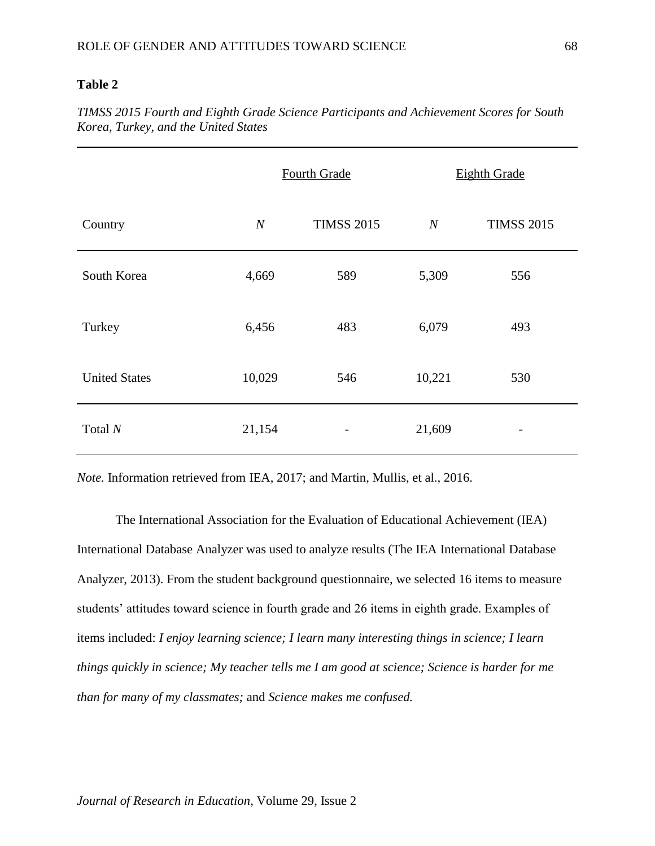# **Table 2**

*TIMSS 2015 Fourth and Eighth Grade Science Participants and Achievement Scores for South Korea, Turkey, and the United States*

|                      |                  | Fourth Grade      | <b>Eighth Grade</b> |                   |  |
|----------------------|------------------|-------------------|---------------------|-------------------|--|
| Country              | $\boldsymbol{N}$ | <b>TIMSS 2015</b> | $\boldsymbol{N}$    | <b>TIMSS 2015</b> |  |
| South Korea          | 4,669            | 589               | 5,309               | 556               |  |
| Turkey               | 6,456            | 483               | 6,079               | 493               |  |
| <b>United States</b> | 10,029           | 546               | 10,221              | 530               |  |
| Total $N$            | 21,154           | -                 | 21,609              |                   |  |

*Note.* Information retrieved from IEA, 2017; and Martin, Mullis, et al., 2016.

The International Association for the Evaluation of Educational Achievement (IEA) International Database Analyzer was used to analyze results (The IEA International Database Analyzer, 2013). From the student background questionnaire, we selected 16 items to measure students' attitudes toward science in fourth grade and 26 items in eighth grade. Examples of items included: *I enjoy learning science; I learn many interesting things in science; I learn things quickly in science; My teacher tells me I am good at science; Science is harder for me than for many of my classmates;* and *Science makes me confused.*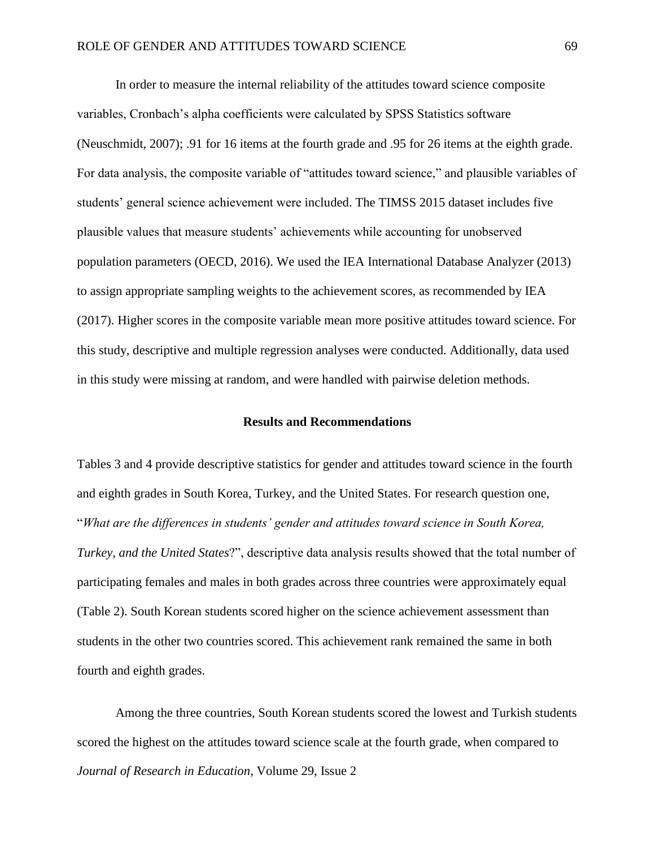In order to measure the internal reliability of the attitudes toward science composite variables, Cronbach's alpha coefficients were calculated by SPSS Statistics software (Neuschmidt, 2007); .91 for 16 items at the fourth grade and .95 for 26 items at the eighth grade. For data analysis, the composite variable of "attitudes toward science," and plausible variables of students' general science achievement were included. The TIMSS 2015 dataset includes five plausible values that measure students' achievements while accounting for unobserved population parameters (OECD, 2016). We used the IEA International Database Analyzer (2013) to assign appropriate sampling weights to the achievement scores, as recommended by IEA (2017). Higher scores in the composite variable mean more positive attitudes toward science. For this study, descriptive and multiple regression analyses were conducted. Additionally, data used in this study were missing at random, and were handled with pairwise deletion methods.

#### **Results and Recommendations**

Tables 3 and 4 provide descriptive statistics for gender and attitudes toward science in the fourth and eighth grades in South Korea, Turkey, and the United States. For research question one, "*What are the differences in students' gender and attitudes toward science in South Korea, Turkey, and the United States*?", descriptive data analysis results showed that the total number of participating females and males in both grades across three countries were approximately equal (Table 2). South Korean students scored higher on the science achievement assessment than students in the other two countries scored. This achievement rank remained the same in both fourth and eighth grades.

*Journal of Research in Education*, Volume 29, Issue 2 Among the three countries, South Korean students scored the lowest and Turkish students scored the highest on the attitudes toward science scale at the fourth grade, when compared to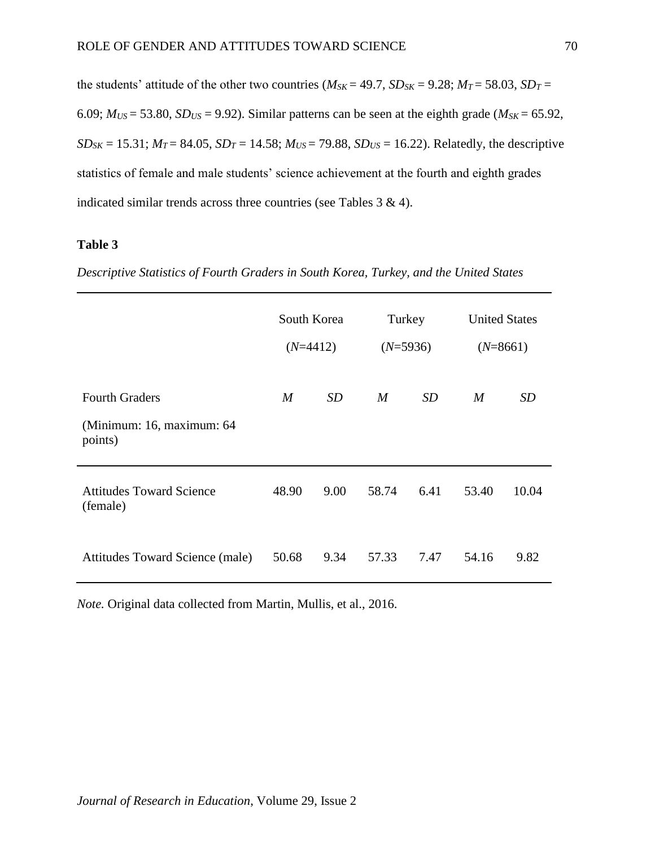the students' attitude of the other two countries ( $M_{SK} = 49.7$ ,  $SD_{SK} = 9.28$ ;  $M_T = 58.03$ ,  $SD_T =$ 6.09;  $M_{US}$  = 53.80,  $SD_{US}$  = 9.92). Similar patterns can be seen at the eighth grade ( $M_{SK}$  = 65.92, *SD*<sub>*SK*</sub> = 15.31;  $M_T = 84.05$ ,  $SD_T = 14.58$ ;  $M_{US} = 79.88$ ,  $SD_{US} = 16.22$ ). Relatedly, the descriptive statistics of female and male students' science achievement at the fourth and eighth grades indicated similar trends across three countries (see Tables 3 & 4).

### **Table 3**

*Descriptive Statistics of Fourth Graders in South Korea, Turkey, and the United States*

|                                                               | South Korea<br>$(N=4412)$ |      | Turkey<br>$(N=5936)$ |           | <b>United States</b><br>$(N=8661)$ |           |
|---------------------------------------------------------------|---------------------------|------|----------------------|-----------|------------------------------------|-----------|
| <b>Fourth Graders</b><br>(Minimum: 16, maximum: 64<br>points) | $\boldsymbol{M}$          | SD   | M                    | <i>SD</i> | $\boldsymbol{M}$                   | <i>SD</i> |
| <b>Attitudes Toward Science</b><br>(female)                   | 48.90                     | 9.00 | 58.74                | 6.41      | 53.40                              | 10.04     |
| Attitudes Toward Science (male)                               | 50.68                     | 9.34 | 57.33                | 7.47      | 54.16                              | 9.82      |

*Note.* Original data collected from Martin, Mullis, et al., 2016.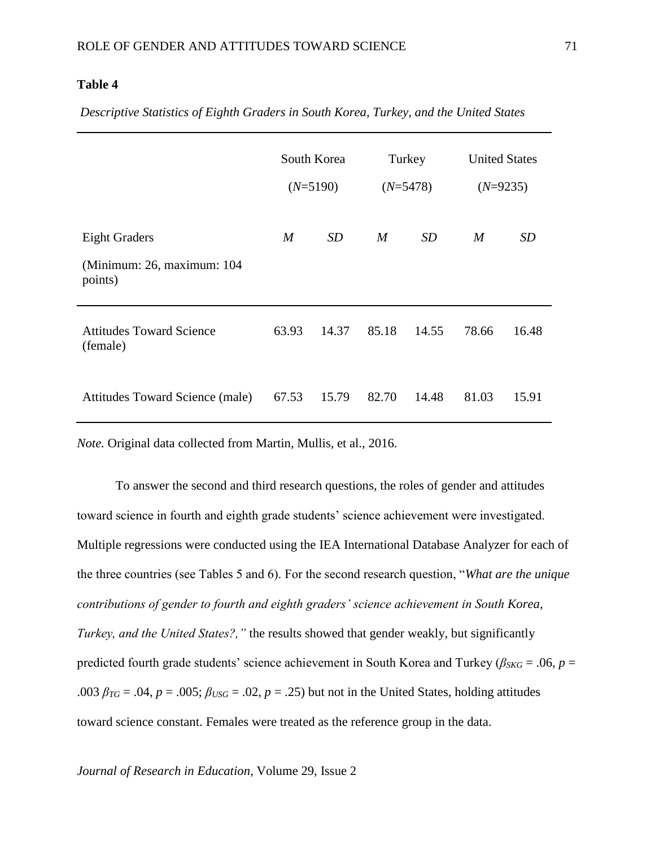## **Table 4**

*Descriptive Statistics of Eighth Graders in South Korea, Turkey, and the United States*

|                                                               | South Korea<br>$(N=5190)$ |           | Turkey<br>$(N=5478)$ |       | <b>United States</b><br>$(N=9235)$ |       |
|---------------------------------------------------------------|---------------------------|-----------|----------------------|-------|------------------------------------|-------|
| <b>Eight Graders</b><br>(Minimum: 26, maximum: 104<br>points) | $\boldsymbol{M}$          | <b>SD</b> | M                    | SD    | M                                  | SD    |
| <b>Attitudes Toward Science</b><br>(female)                   | 63.93                     | 14.37     | 85.18                | 14.55 | 78.66                              | 16.48 |
| Attitudes Toward Science (male)                               | 67.53                     | 15.79     | 82.70                | 14.48 | 81.03                              | 15.91 |

*Note.* Original data collected from Martin, Mullis, et al., 2016.

To answer the second and third research questions, the roles of gender and attitudes toward science in fourth and eighth grade students' science achievement were investigated. Multiple regressions were conducted using the IEA International Database Analyzer for each of the three countries (see Tables 5 and 6). For the second research question, "*What are the unique contributions of gender to fourth and eighth graders' science achievement in South Korea, Turkey, and the United States?,"* the results showed that gender weakly, but significantly predicted fourth grade students' science achievement in South Korea and Turkey ( $\beta_{SKG} = .06$ ,  $p =$ .003  $\beta_{TG} = .04$ ,  $p = .005$ ;  $\beta_{USG} = .02$ ,  $p = .25$ ) but not in the United States, holding attitudes toward science constant. Females were treated as the reference group in the data.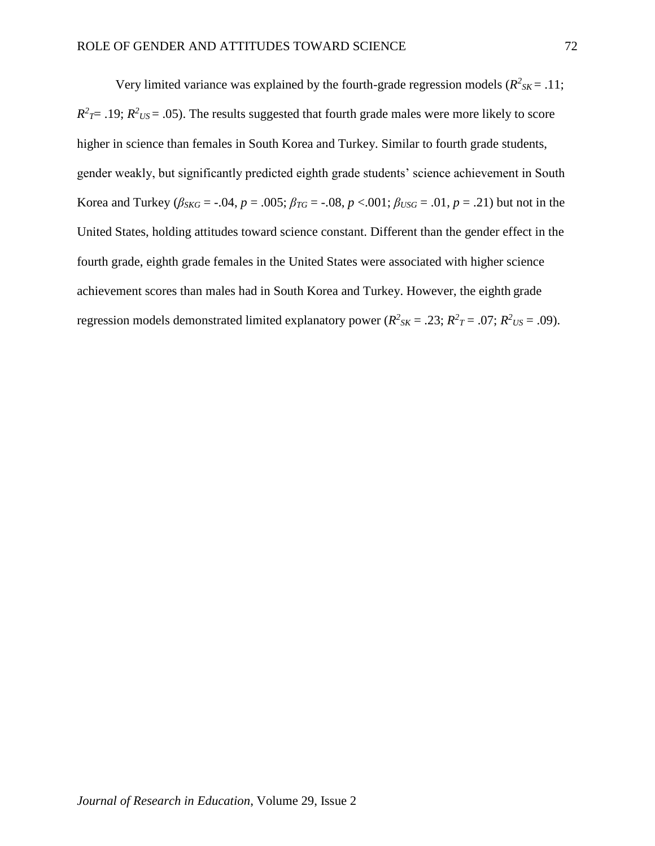Very limited variance was explained by the fourth-grade regression models ( $R^2_{SK}$  = .11;  $R^2$ <sub>*T*</sub>= .19;  $R^2$ <sub>*US*</sub> = .05). The results suggested that fourth grade males were more likely to score higher in science than females in South Korea and Turkey. Similar to fourth grade students, gender weakly, but significantly predicted eighth grade students' science achievement in South Korea and Turkey ( $\beta_{SKG} = -.04$ ,  $p = .005$ ;  $\beta_{TG} = -.08$ ,  $p < .001$ ;  $\beta_{USG} = .01$ ,  $p = .21$ ) but not in the United States, holding attitudes toward science constant. Different than the gender effect in the fourth grade, eighth grade females in the United States were associated with higher science achievement scores than males had in South Korea and Turkey. However, the eighth grade regression models demonstrated limited explanatory power ( $R^2_{SK} = .23$ ;  $R^2_{T} = .07$ ;  $R^2_{US} = .09$ ).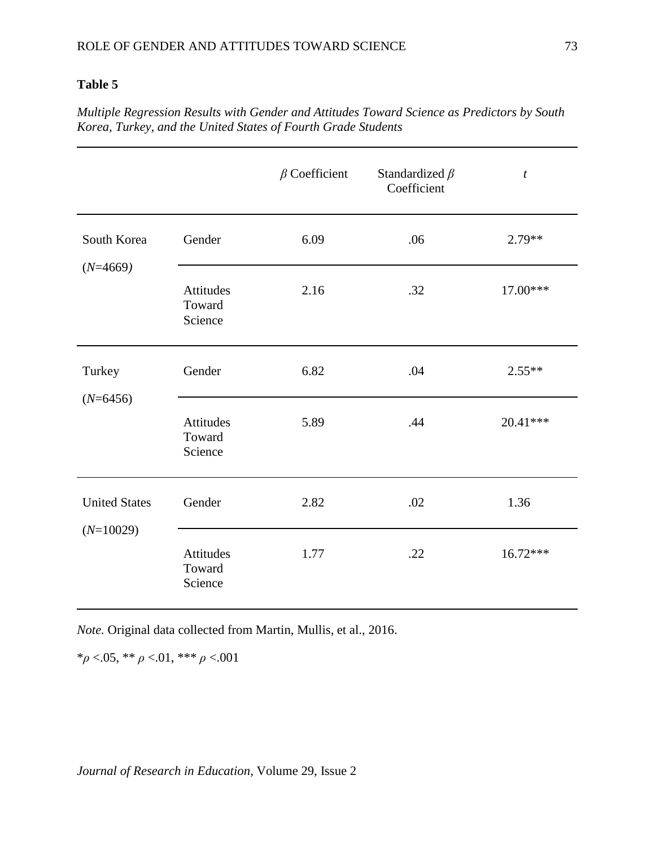# **Table 5**

*Multiple Regression Results with Gender and Attitudes Toward Science as Predictors by South Korea, Turkey, and the United States of Fourth Grade Students*

|                                     |                                | $\beta$ Coefficient | Standardized $\beta$<br>Coefficient | $\boldsymbol{t}$ |
|-------------------------------------|--------------------------------|---------------------|-------------------------------------|------------------|
| South Korea<br>$(N=4669)$           | Gender                         | 6.09                | .06                                 | $2.79**$         |
|                                     | Attitudes<br>Toward<br>Science | 2.16                | .32                                 | 17.00***         |
| Turkey<br>$(N=6456)$                | Gender                         | 6.82                | .04                                 | $2.55**$         |
|                                     | Attitudes<br>Toward<br>Science | 5.89                | .44                                 | 20.41***         |
| <b>United States</b><br>$(N=10029)$ | Gender                         | 2.82                | .02                                 | 1.36             |
|                                     | Attitudes<br>Toward<br>Science | 1.77                | .22                                 | 16.72***         |

*Note.* Original data collected from Martin, Mullis, et al., 2016.

\**ρ* <.05, \*\* *ρ* <.01, \*\*\* *ρ* <.001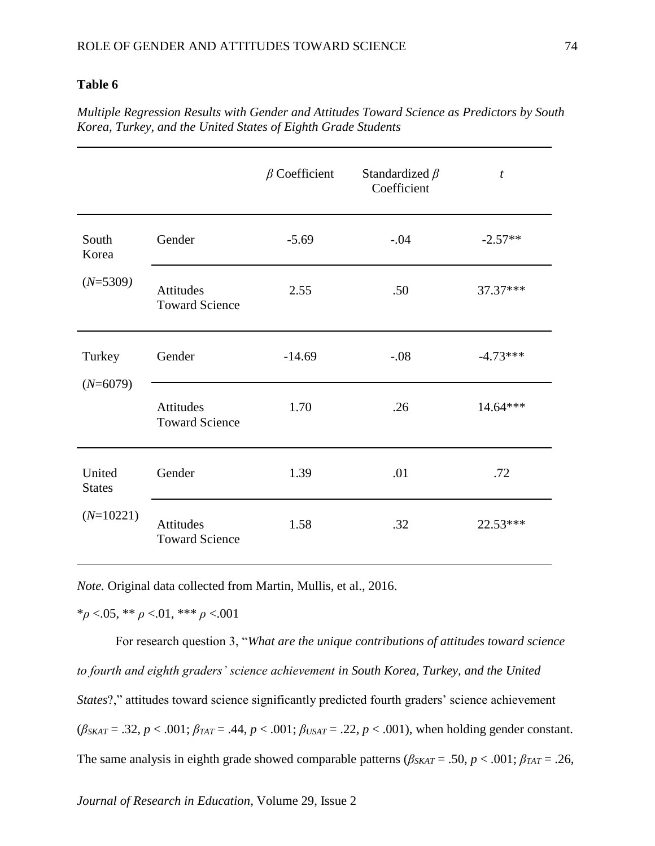#### **Table 6**

*Multiple Regression Results with Gender and Attitudes Toward Science as Predictors by South Korea, Turkey, and the United States of Eighth Grade Students*

|                         |                                           | $\beta$ Coefficient | Standardized $\beta$<br>Coefficient | t          |
|-------------------------|-------------------------------------------|---------------------|-------------------------------------|------------|
| South<br>Korea          | Gender                                    | $-5.69$             | $-.04$                              | $-2.57**$  |
| $(N=5309)$              | <b>Attitudes</b><br><b>Toward Science</b> | 2.55                | .50                                 | 37.37***   |
| Turkey                  | Gender                                    | $-14.69$            | $-.08$                              | $-4.73***$ |
| $(N=6079)$              | <b>Attitudes</b><br><b>Toward Science</b> | 1.70                | .26                                 | 14.64***   |
| United<br><b>States</b> | Gender                                    | 1.39                | .01                                 | .72        |
| $(N=10221)$             | Attitudes<br><b>Toward Science</b>        | 1.58                | .32                                 | 22.53***   |

*Note.* Original data collected from Martin, Mullis, et al., 2016.

\**ρ* <.05, \*\* *ρ* <.01, \*\*\* *ρ* <.001

For research question 3, "*What are the unique contributions of attitudes toward science to fourth and eighth graders' science achievement in South Korea, Turkey, and the United States*?," attitudes toward science significantly predicted fourth graders' science achievement  $(\beta_{SKAT} = .32, p < .001; \beta_{TAT} = .44, p < .001; \beta_{USAT} = .22, p < .001)$ , when holding gender constant. The same analysis in eighth grade showed comparable patterns ( $\beta_{SKAT} = .50$ ,  $p < .001$ ;  $\beta_{TAT} = .26$ ,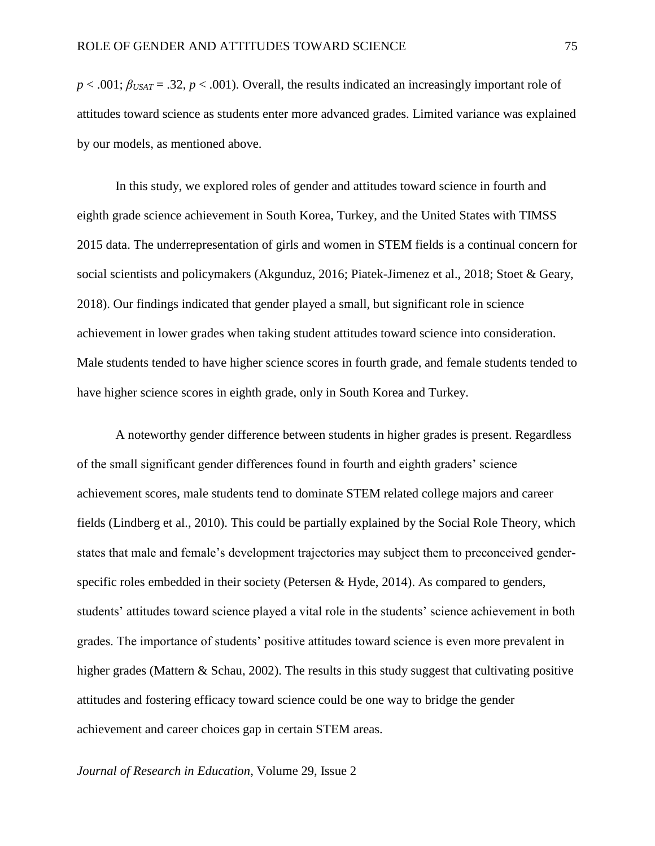$p < .001$ ;  $\beta_{USA} = .32$ ,  $p < .001$ ). Overall, the results indicated an increasingly important role of attitudes toward science as students enter more advanced grades. Limited variance was explained by our models, as mentioned above.

In this study, we explored roles of gender and attitudes toward science in fourth and eighth grade science achievement in South Korea, Turkey, and the United States with TIMSS 2015 data. The underrepresentation of girls and women in STEM fields is a continual concern for social scientists and policymakers (Akgunduz, 2016; Piatek-Jimenez et al., 2018; Stoet & Geary, 2018). Our findings indicated that gender played a small, but significant role in science achievement in lower grades when taking student attitudes toward science into consideration. Male students tended to have higher science scores in fourth grade, and female students tended to have higher science scores in eighth grade, only in South Korea and Turkey.

A noteworthy gender difference between students in higher grades is present. Regardless of the small significant gender differences found in fourth and eighth graders' science achievement scores, male students tend to dominate STEM related college majors and career fields (Lindberg et al., 2010). This could be partially explained by the Social Role Theory, which states that male and female's development trajectories may subject them to preconceived genderspecific roles embedded in their society (Petersen & Hyde, 2014). As compared to genders, students' attitudes toward science played a vital role in the students' science achievement in both grades. The importance of students' positive attitudes toward science is even more prevalent in higher grades (Mattern & Schau, 2002). The results in this study suggest that cultivating positive attitudes and fostering efficacy toward science could be one way to bridge the gender achievement and career choices gap in certain STEM areas.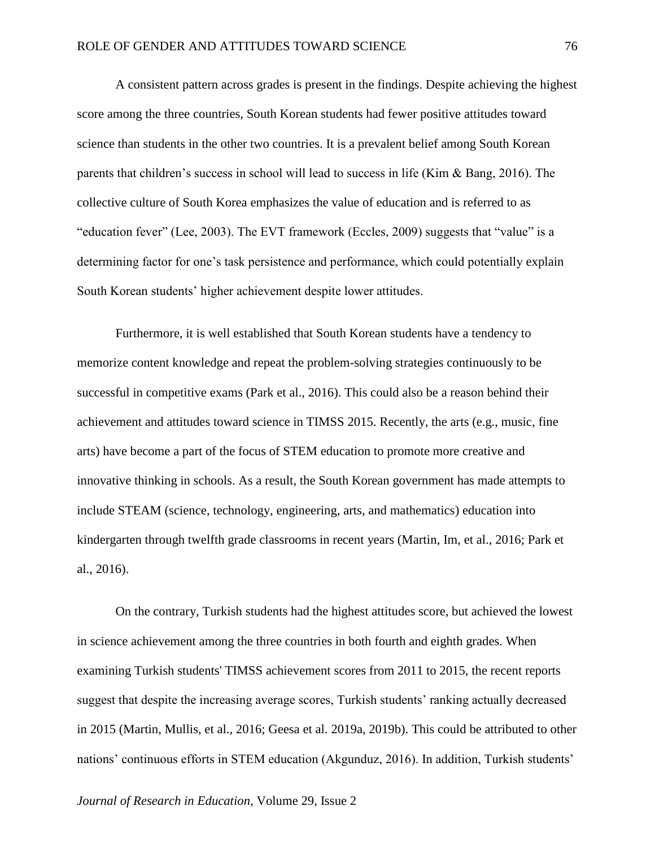A consistent pattern across grades is present in the findings. Despite achieving the highest score among the three countries, South Korean students had fewer positive attitudes toward science than students in the other two countries. It is a prevalent belief among South Korean parents that children's success in school will lead to success in life (Kim & Bang, 2016). The collective culture of South Korea emphasizes the value of education and is referred to as "education fever" (Lee, 2003). The EVT framework (Eccles, 2009) suggests that "value" is a determining factor for one's task persistence and performance, which could potentially explain South Korean students' higher achievement despite lower attitudes.

Furthermore, it is well established that South Korean students have a tendency to memorize content knowledge and repeat the problem-solving strategies continuously to be successful in competitive exams (Park et al., 2016). This could also be a reason behind their achievement and attitudes toward science in TIMSS 2015. Recently, the arts (e.g., music, fine arts) have become a part of the focus of STEM education to promote more creative and innovative thinking in schools. As a result, the South Korean government has made attempts to include STEAM (science, technology, engineering, arts, and mathematics) education into kindergarten through twelfth grade classrooms in recent years (Martin, Im, et al., 2016; Park et al., 2016).

On the contrary, Turkish students had the highest attitudes score, but achieved the lowest in science achievement among the three countries in both fourth and eighth grades. When examining Turkish students' TIMSS achievement scores from 2011 to 2015, the recent reports suggest that despite the increasing average scores, Turkish students' ranking actually decreased in 2015 (Martin, Mullis, et al., 2016; Geesa et al. 2019a, 2019b). This could be attributed to other nations' continuous efforts in STEM education (Akgunduz, 2016). In addition, Turkish students'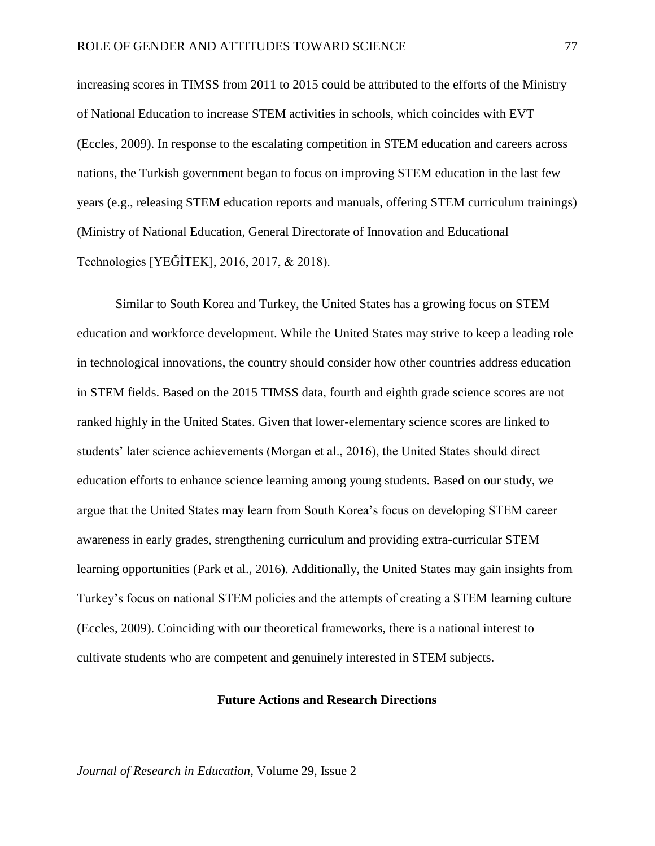increasing scores in TIMSS from 2011 to 2015 could be attributed to the efforts of the Ministry of National Education to increase STEM activities in schools, which coincides with EVT (Eccles, 2009). In response to the escalating competition in STEM education and careers across nations, the Turkish government began to focus on improving STEM education in the last few years (e.g., releasing STEM education reports and manuals, offering STEM curriculum trainings) (Ministry of National Education, General Directorate of Innovation and Educational Technologies [YEĞİTEK], 2016, 2017, & 2018).

Similar to South Korea and Turkey, the United States has a growing focus on STEM education and workforce development. While the United States may strive to keep a leading role in technological innovations, the country should consider how other countries address education in STEM fields. Based on the 2015 TIMSS data, fourth and eighth grade science scores are not ranked highly in the United States. Given that lower-elementary science scores are linked to students' later science achievements (Morgan et al., 2016), the United States should direct education efforts to enhance science learning among young students. Based on our study, we argue that the United States may learn from South Korea's focus on developing STEM career awareness in early grades, strengthening curriculum and providing extra-curricular STEM learning opportunities (Park et al., 2016). Additionally, the United States may gain insights from Turkey's focus on national STEM policies and the attempts of creating a STEM learning culture (Eccles, 2009). Coinciding with our theoretical frameworks, there is a national interest to cultivate students who are competent and genuinely interested in STEM subjects.

#### **Future Actions and Research Directions**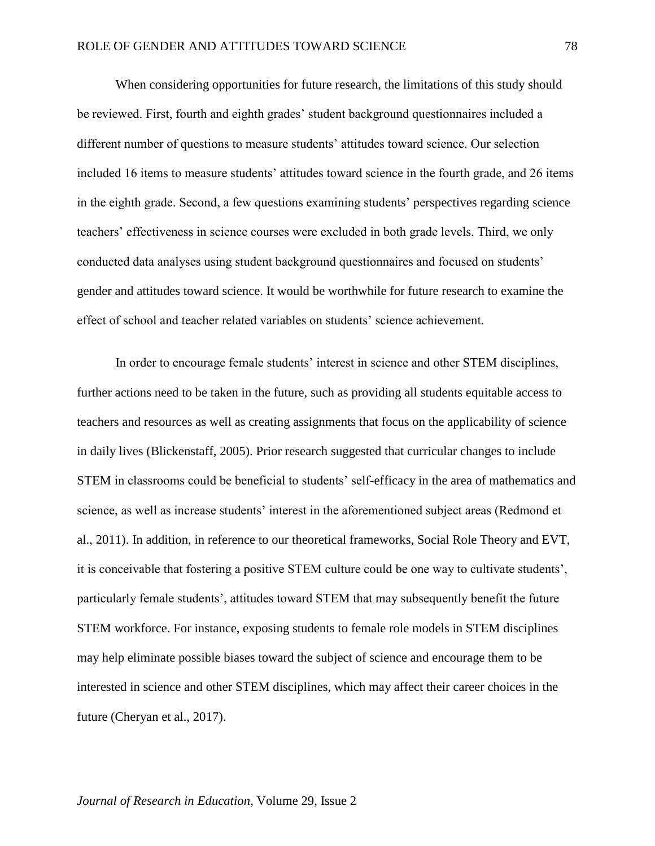When considering opportunities for future research, the limitations of this study should be reviewed. First, fourth and eighth grades' student background questionnaires included a different number of questions to measure students' attitudes toward science. Our selection included 16 items to measure students' attitudes toward science in the fourth grade, and 26 items in the eighth grade. Second, a few questions examining students' perspectives regarding science teachers' effectiveness in science courses were excluded in both grade levels. Third, we only conducted data analyses using student background questionnaires and focused on students' gender and attitudes toward science. It would be worthwhile for future research to examine the effect of school and teacher related variables on students' science achievement.

In order to encourage female students' interest in science and other STEM disciplines, further actions need to be taken in the future, such as providing all students equitable access to teachers and resources as well as creating assignments that focus on the applicability of science in daily lives (Blickenstaff, 2005). Prior research suggested that curricular changes to include STEM in classrooms could be beneficial to students' self-efficacy in the area of mathematics and science, as well as increase students' interest in the aforementioned subject areas (Redmond et al., 2011). In addition, in reference to our theoretical frameworks, Social Role Theory and EVT, it is conceivable that fostering a positive STEM culture could be one way to cultivate students', particularly female students', attitudes toward STEM that may subsequently benefit the future STEM workforce. For instance, exposing students to female role models in STEM disciplines may help eliminate possible biases toward the subject of science and encourage them to be interested in science and other STEM disciplines, which may affect their career choices in the future (Cheryan et al., 2017).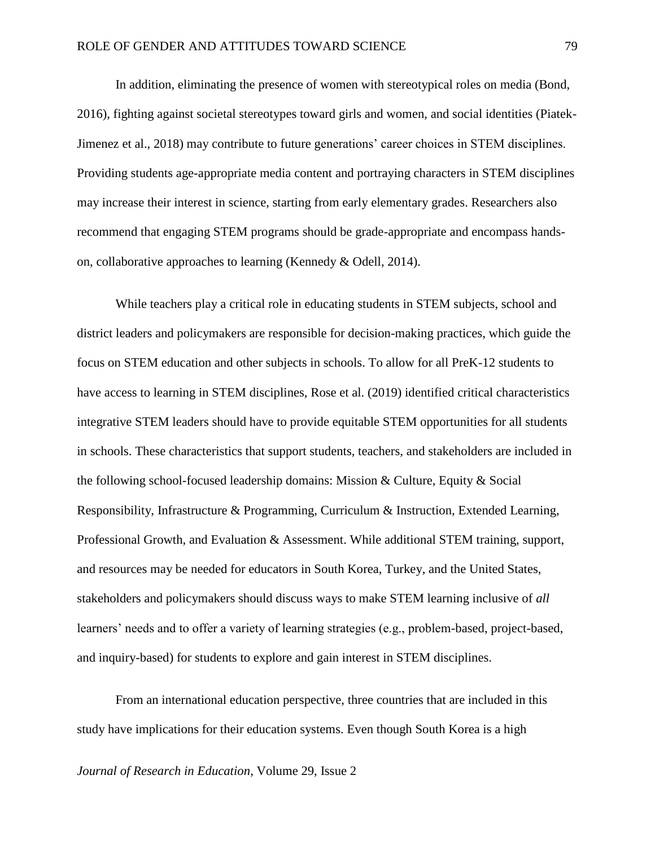In addition, eliminating the presence of women with stereotypical roles on media (Bond, 2016), fighting against societal stereotypes toward girls and women, and social identities (Piatek-Jimenez et al., 2018) may contribute to future generations' career choices in STEM disciplines. Providing students age-appropriate media content and portraying characters in STEM disciplines may increase their interest in science, starting from early elementary grades. Researchers also recommend that engaging STEM programs should be grade-appropriate and encompass handson, collaborative approaches to learning (Kennedy & Odell, 2014).

While teachers play a critical role in educating students in STEM subjects, school and district leaders and policymakers are responsible for decision-making practices, which guide the focus on STEM education and other subjects in schools. To allow for all PreK-12 students to have access to learning in STEM disciplines, Rose et al. (2019) identified critical characteristics integrative STEM leaders should have to provide equitable STEM opportunities for all students in schools. These characteristics that support students, teachers, and stakeholders are included in the following school-focused leadership domains: Mission & Culture, Equity & Social Responsibility, Infrastructure & Programming, Curriculum & Instruction, Extended Learning, Professional Growth, and Evaluation & Assessment. While additional STEM training, support, and resources may be needed for educators in South Korea, Turkey, and the United States, stakeholders and policymakers should discuss ways to make STEM learning inclusive of *all*  learners' needs and to offer a variety of learning strategies (e.g., problem-based, project-based, and inquiry-based) for students to explore and gain interest in STEM disciplines.

From an international education perspective, three countries that are included in this study have implications for their education systems. Even though South Korea is a high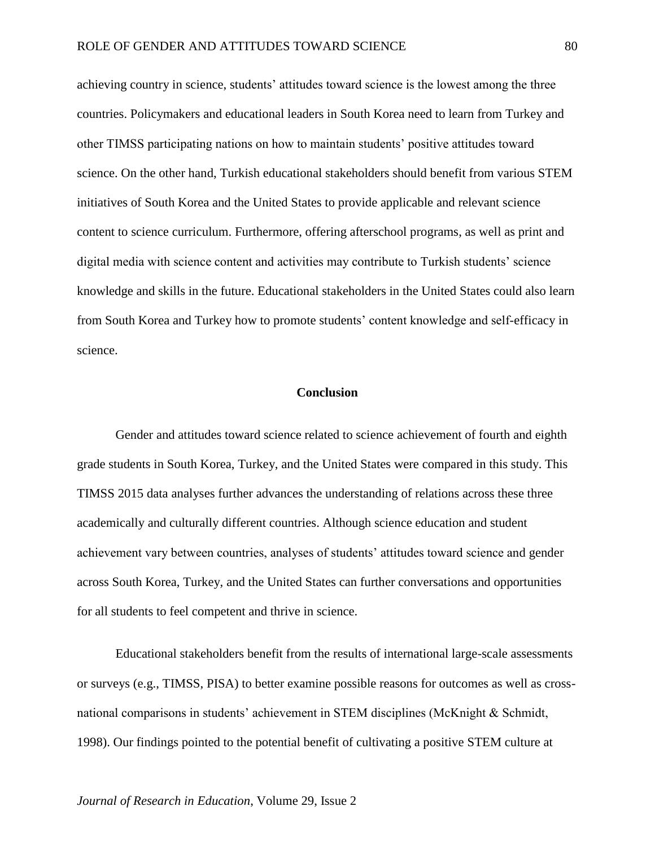achieving country in science, students' attitudes toward science is the lowest among the three countries. Policymakers and educational leaders in South Korea need to learn from Turkey and other TIMSS participating nations on how to maintain students' positive attitudes toward science. On the other hand, Turkish educational stakeholders should benefit from various STEM initiatives of South Korea and the United States to provide applicable and relevant science content to science curriculum. Furthermore, offering afterschool programs, as well as print and digital media with science content and activities may contribute to Turkish students' science knowledge and skills in the future. Educational stakeholders in the United States could also learn from South Korea and Turkey how to promote students' content knowledge and self-efficacy in science.

#### **Conclusion**

Gender and attitudes toward science related to science achievement of fourth and eighth grade students in South Korea, Turkey, and the United States were compared in this study. This TIMSS 2015 data analyses further advances the understanding of relations across these three academically and culturally different countries. Although science education and student achievement vary between countries, analyses of students' attitudes toward science and gender across South Korea, Turkey, and the United States can further conversations and opportunities for all students to feel competent and thrive in science.

Educational stakeholders benefit from the results of international large-scale assessments or surveys (e.g., TIMSS, PISA) to better examine possible reasons for outcomes as well as crossnational comparisons in students' achievement in STEM disciplines (McKnight & Schmidt, 1998). Our findings pointed to the potential benefit of cultivating a positive STEM culture at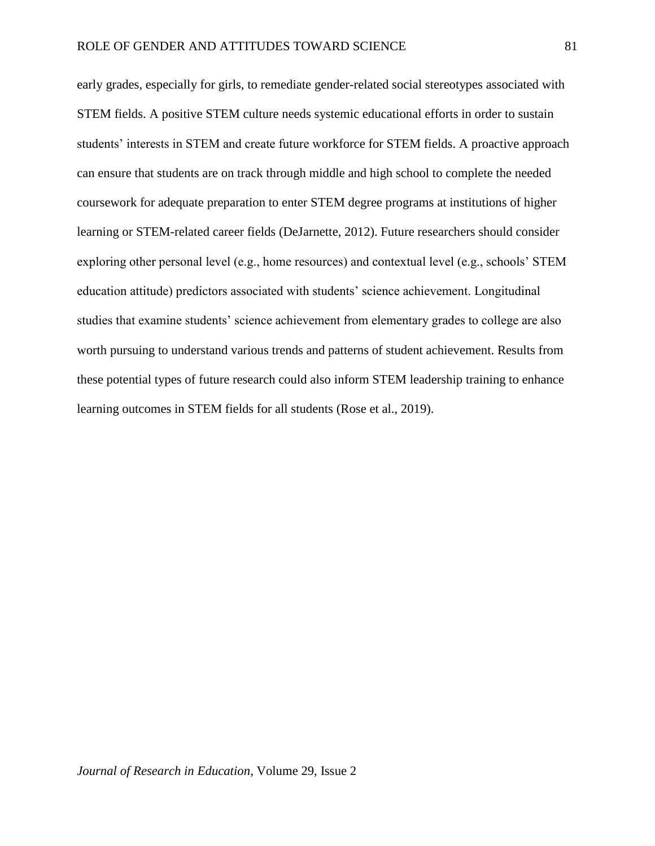early grades, especially for girls, to remediate gender-related social stereotypes associated with STEM fields. A positive STEM culture needs systemic educational efforts in order to sustain students' interests in STEM and create future workforce for STEM fields. A proactive approach can ensure that students are on track through middle and high school to complete the needed coursework for adequate preparation to enter STEM degree programs at institutions of higher learning or STEM-related career fields (DeJarnette, 2012). Future researchers should consider exploring other personal level (e.g., home resources) and contextual level (e.g., schools' STEM education attitude) predictors associated with students' science achievement. Longitudinal studies that examine students' science achievement from elementary grades to college are also worth pursuing to understand various trends and patterns of student achievement. Results from these potential types of future research could also inform STEM leadership training to enhance learning outcomes in STEM fields for all students (Rose et al., 2019).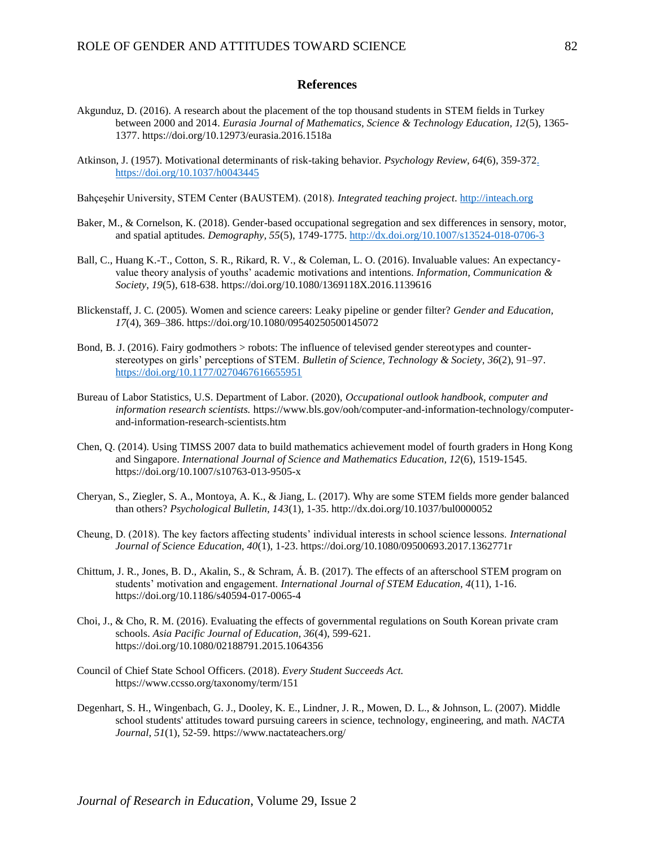#### **References**

- Akgunduz, D. (2016). A research about the placement of the top thousand students in STEM fields in Turkey between 2000 and 2014. *Eurasia Journal of Mathematics, Science & Technology Education, 12*(5), 1365- 1377. <https://doi.org/10.12973/eurasia.2016.1518a>
- Atkinson, J. (1957). Motivational determinants of risk-taking behavior. *Psychology Review, 64*(6), 359-37[2.](file:///C:/Users/kmchenry/Downloads/.%20%20https:/doi.org/10.1037/h0043445)  [https://doi.org/10.1037/h0043445](file:///C:/Users/kmchenry/Downloads/.%20%20https:/doi.org/10.1037/h0043445)

Bahçeşehir University, STEM Center (BAUSTEM). (2018). *Integrated teaching project*. [http://inteach.org](http://inteach.org/)

- Baker, M., & Cornelson, K. (2018). Gender-based occupational segregation and sex differences in sensory, motor, and spatial aptitudes*. Demography, 55*(5), 1749-1775. <http://dx.doi.org/10.1007/s13524-018-0706-3>
- Ball, C., Huang K.-T., Cotton, S. R., Rikard, R. V., & Coleman, L. O. (2016). Invaluable values: An expectancyvalue theory analysis of youths' academic motivations and intentions. *Information, Communication & Society*, *19*(5)*,* 618-638. <https://doi.org/10.1080/1369118X.2016.1139616>
- Blickenstaff, J. C. (2005). Women and science careers: Leaky pipeline or gender filter? *Gender and Education, 17*(4), 369–386. <https://doi.org/10.1080/09540250500145072>
- Bond, B. J. (2016). Fairy godmothers > robots: The influence of televised gender stereotypes and counterstereotypes on girls' perceptions of STEM. *Bulletin of Science, Technology & Society, 36*(2), 91–97. <https://doi.org/10.1177/0270467616655951>
- Bureau of Labor Statistics, U.S. Department of Labor. (2020), *Occupational outlook handbook, computer and information research scientists.* https://www.bls.gov/ooh/computer-and-information-technology/computerand-information-research-scientists.htm
- Chen, Q. (2014). Using TIMSS 2007 data to build mathematics achievement model of fourth graders in Hong Kong and Singapore. *International Journal of Science and Mathematics Education, 12*(6), 1519-1545[.](https://doi.org/10.1007/s10763-013-9505-x) <https://doi.org/10.1007/s10763-013-9505-x>
- Cheryan, S., Ziegler, S. A., Montoya, A. K., & Jiang, L. (2017). Why are some STEM fields more gender balanced than others? *Psychological Bulletin, 143*(1)*,* 1-35. http://dx.doi.org/10.1037/bul0000052
- Cheung, D. (2018). The key factors affecting students' individual interests in school science lessons. *International Journal of Science Education, 40*(1), 1-23. [https://doi.org/10.1080/09500693.2017.1362771r](https://doi.org/10.1080/09500693.2017.1362771)
- Chittum, J. R., Jones, B. D., Akalin, S., & Schram, Á. B. (2017). The effects of an afterschool STEM program on students' motivation and engagement. *International Journal of STEM Education, 4*(11), 1-16. https://doi.org/10.1186/s40594-017-0065-4
- Choi, J., & Cho, R. M. (2016). Evaluating the effects of governmental regulations on South Korean private cram schools. *Asia Pacific Journal of Education, 36*(4), 599-621. https://doi.org/10.1080/02188791.2015.1064356
- Council of Chief State School Officers. (2018). *Every Student Succeeds Act.* https://www.ccsso.org/taxonomy/term/151
- Degenhart, S. H., Wingenbach, G. J., Dooley, K. E., Lindner, J. R., Mowen, D. L., & Johnson, L. (2007). Middle school students' attitudes toward pursuing careers in science, technology, engineering, and math*. NACTA Journal*, *51*(1), 52-59. <https://www.nactateachers.org/>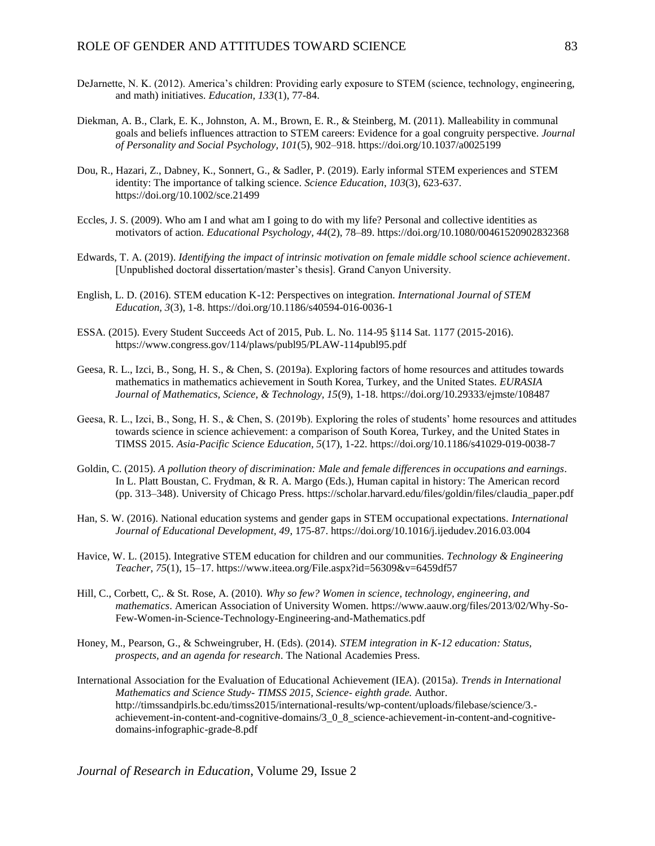- DeJarnette, N. K. (2012). America's children: Providing early exposure to STEM (science, technology, engineering, and math) initiatives. *Education, 133*(1), 77-84.
- Diekman, A. B., Clark, E. K., Johnston, A. M., Brown, E. R., & Steinberg, M. (2011). Malleability in communal goals and beliefs influences attraction to STEM careers: Evidence for a goal congruity perspective. *Journal of Personality and Social Psychology, 101*(5), 902–918. <https://doi.org/10.1037/a0025199>
- Dou, R., Hazari, Z., Dabney, K., Sonnert, G., & Sadler, P. (2019). Early informal STEM experiences and STEM identity: The importance of talking science. *Science Education*, *103*(3), 623-637. https://doi.org/10.1002/sce.21499
- Eccles, J. S. (2009). Who am I and what am I going to do with my life? Personal and collective identities as motivators of action. *Educational Psychology, 44*(2), 78–89. <https://doi.org/10.1080/00461520902832368>
- Edwards, T. A. (2019). *Identifying the impact of intrinsic motivation on female middle school science achievement*. [Unpublished doctoral dissertation/master's thesis]. Grand Canyon University.
- English, L. D. (2016). STEM education K-12: Perspectives on integration. *International Journal of STEM Education, 3*(3), 1-8. <https://doi.org/10.1186/s40594-016-0036-1>
- ESSA. (2015). Every Student Succeeds Act of 2015, Pub. L. No. 114-95 §114 Sat. 1177 (2015-2016)[.](https://www.congress.gov/114/plaws/publ95/PLAW-114publ95.pdf) <https://www.congress.gov/114/plaws/publ95/PLAW-114publ95.pdf>
- Geesa, R. L., Izci, B., Song, H. S., & Chen, S. (2019a). Exploring factors of home resources and attitudes towards mathematics in mathematics achievement in South Korea, Turkey, and the United States. *EURASIA Journal of Mathematics, Science, & Technology, 15*(9), 1-18. https://doi.org/10.29333/ejmste/108487
- Geesa, R. L., Izci, B., Song, H. S., & Chen, S. (2019b). Exploring the roles of students' home resources and attitudes towards science in science achievement: a comparison of South Korea, Turkey, and the United States in TIMSS 2015. *Asia-Pacific Science Education, 5*(17), 1-22. https://doi.org/10.1186/s41029-019-0038-7
- Goldin, C. (2015). *A pollution theory of discrimination: Male and female differences in occupations and earnings*. In L. Platt Boustan, C. Frydman, & R. A. Margo (Eds.), Human capital in history: The American record (pp. 313–348). University of Chicago Press. https://scholar.harvard.edu/files/goldin/files/claudia\_paper.pdf
- Han, S. W. (2016). National education systems and gender gaps in STEM occupational expectations*. International Journal of Educational Development, 49*, 175-87. https://doi.org/10.1016/j.ijedudev.2016.03.004
- Havice, W. L. (2015). Integrative STEM education for children and our communities. *Technology & Engineering Teacher*, *75*(1), 15–17. https://www.iteea.org/File.aspx?id=56309&v=6459df57
- Hill, C., Corbett, C,. & St. Rose, A. (2010). *Why so few? Women in science, technology, engineering, and mathematics*. American Association of University Women. https://www.aauw.org/files/2013/02/Why-So-Few-Women-in-Science-Technology-Engineering-and-Mathematics.pdf
- Honey, M., Pearson, G., & Schweingruber, H. (Eds). (2014). *STEM integration in K-12 education: Status, prospects, and an agenda for research*. The National Academies Press.
- International Association for the Evaluation of Educational Achievement (IEA). (2015a). *Trends in International Mathematics and Science Study- TIMSS 2015, Science- eighth grade.* Author. http://timssandpirls.bc.edu/timss2015/international-results/wp-content/uploads/filebase/science/3. achievement-in-content-and-cognitive-domains/3\_0\_8\_science-achievement-in-content-and-cognitivedomains-infographic-grade-8.pdf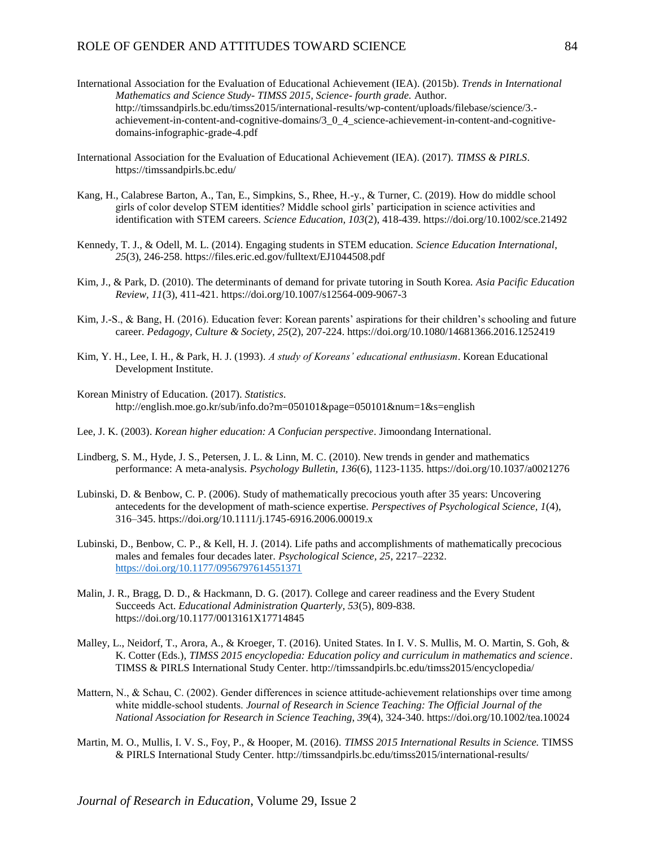#### ROLE OF GENDER AND ATTITUDES TOWARD SCIENCE 84

- International Association for the Evaluation of Educational Achievement (IEA). (2015b). *Trends in International Mathematics and Science Study- TIMSS 2015, Science- fourth grade.* Author. http://timssandpirls.bc.edu/timss2015/international-results/wp-content/uploads/filebase/science/3. achievement-in-content-and-cognitive-domains/3\_0\_4\_science-achievement-in-content-and-cognitivedomains-infographic-grade-4.pdf
- International Association for the Evaluation of Educational Achievement (IEA). (2017). *TIMSS & PIRLS*. https://timssandpirls.bc.edu/
- Kang, H., Calabrese Barton, A., Tan, E., Simpkins, S., Rhee, H.-y., & Turner, C. (2019). How do middle school girls of color develop STEM identities? Middle school girls' participation in science activities and identification with STEM careers. *Science Education, 103*(2), 418-439. https://doi.org/10.1002/sce.21492
- Kennedy, T. J., & Odell, M. L. (2014). Engaging students in STEM education. *Science Education International*, *25*(3), 246-258. https://files.eric.ed.gov/fulltext/EJ1044508.pdf
- Kim, J., & Park, D. (2010). The determinants of demand for private tutoring in South Korea. *Asia Pacific Education Review, 11*(3), 411-421. https://doi.org/10.1007/s12564-009-9067-3
- Kim, J.-S., & Bang, H. (2016). Education fever: Korean parents' aspirations for their children's schooling and future career. *Pedagogy, Culture & Society, 25*(2), 207-224. https://doi.org/10.1080/14681366.2016.1252419
- Kim, Y. H., Lee, I. H., & Park, H. J. (1993). *A study of Koreans' educational enthusiasm*. Korean Educational Development Institute.
- Korean Ministry of Education. (2017). *Statistics*. http://english.moe.go.kr/sub/info.do?m=050101&page=050101&num=1&s=english
- Lee, J. K. (2003). *Korean higher education: A Confucian perspective*. Jimoondang International.
- Lindberg, S. M., Hyde, J. S., Petersen, J. L. & Linn, M. C. (2010). New trends in gender and mathematics performance: A meta-analysis. *Psychology Bulletin, 136*(6), 1123-1135. <https://doi.org/10.1037/a0021276>
- Lubinski, D. & Benbow, C. P. (2006). Study of mathematically precocious youth after 35 years: Uncovering antecedents for the development of math-science expertise. *Perspectives of Psychological Science, 1*(4), 316–345. https://doi.org/10.1111/j.1745-6916.2006.00019.x
- Lubinski, D., Benbow, C. P., & Kell, H. J. (2014). Life paths and accomplishments o[f mathematically precocious](https://doi.org/10.1177/0956797614551371)  males and females four decades later. *Psychological Science, 25*, 2217–2232. <https://doi.org/10.1177/0956797614551371>
- Malin, J. R., Bragg, D. D., & Hackmann, D. G. (2017). College and career readiness and the Every Student Succeeds Act. *Educational Administration Quarterly, 53*(5), 809-838. https://doi.org/10.1177/0013161X17714845
- Malley, L., Neidorf, T., Arora, A., & Kroeger, T. (2016). United States. In I. V. S. Mullis, M. O. Martin, S. Goh, & K. Cotter (Eds.), *TIMSS 2015 encyclopedia: Education policy and curriculum in mathematics and science*. TIMSS & PIRLS International Study Center. http://timssandpirls.bc.edu/timss2015/encyclopedia/
- Mattern, N., & Schau, C. (2002). Gender differences in science attitude-achievement relationships over time among white middle‐school students. *Journal of Research in Science Teaching: The Official Journal of the National Association for Research in Science Teaching*, *39*(4), 324-340. https://doi.org/10.1002/tea.10024
- Martin, M. O., Mullis, I. V. S., Foy, P., & Hooper, M. (2016). *TIMSS 2015 International Results in Science.* TIMSS & PIRLS International Study Center. http://timssandpirls.bc.edu/timss2015/international-results/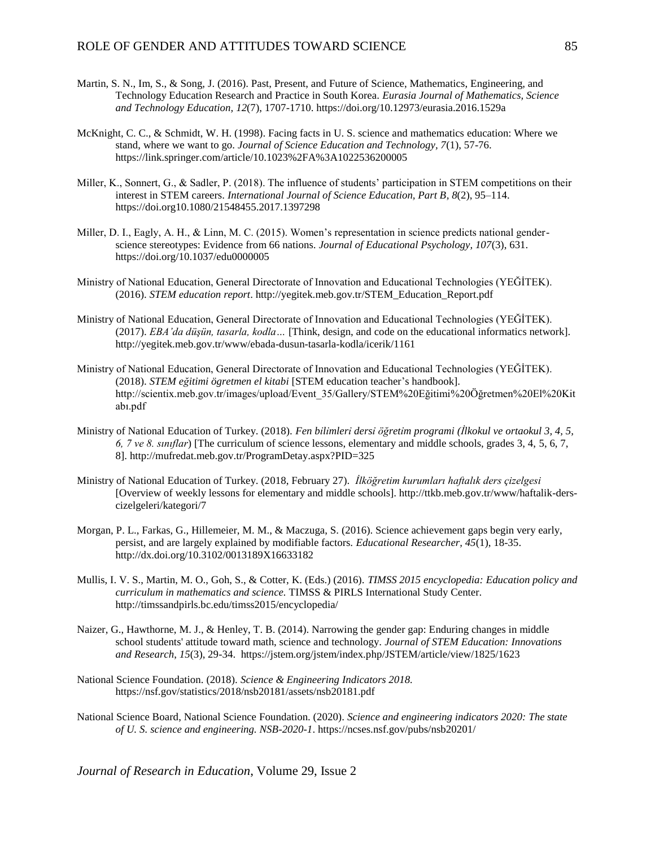- Martin, S. N., Im, S., & Song, J. (2016). Past, Present, and Future of Science, Mathematics, Engineering, and Technology Education Research and Practice in South Korea. *Eurasia Journal of Mathematics, Science and Technology Education, 12*(7), 1707-1710. https://doi.org/10.12973/eurasia.2016.1529a
- McKnight, C. C., & Schmidt, W. H. (1998). Facing facts in U. S. science and mathematics education: Where we stand, where we want to go. *Journal of Science Education and Technology, 7*(1), 57-76. https://link.springer.com/article/10.1023%2FA%3A1022536200005
- Miller, K., Sonnert, G., & Sadler, P. (2018). The influence of students' participation in STEM competitions on their interest in STEM careers. *International Journal of Science Education, Part B, 8*(2), 95–114. https://doi.org10.1080/21548455.2017.1397298
- Miller, D. I., Eagly, A. H., & Linn, M. C. (2015). Women's representation in science predicts national genderscience stereotypes: Evidence from 66 nations*. Journal of Educational Psychology, 107*(3), 631. https://doi.org/10.1037/edu0000005
- Ministry of National Education, General Directorate of Innovation and Educational Technologies (YEĞİTEK). (2016). *STEM education report*. http://yegitek.meb.gov.tr/STEM\_Education\_Report.pdf
- Ministry of National Education, General Directorate of Innovation and Educational Technologies (YEĞİTEK). (2017). *EBA'da düşün, tasarla, kodla…* [Think, design, and code on the educational informatics network]. http://yegitek.meb.gov.tr/www/ebada-dusun-tasarla-kodla/icerik/1161
- Ministry of National Education, General Directorate of Innovation and Educational Technologies (YEĞİTEK). (2018). *STEM eğitimi ögretmen el kitabi* [STEM education teacher's handbook]. http://scientix.meb.gov.tr/images/upload/Event\_35/Gallery/STEM%20Eğitimi%20Öğretmen%20El%20Kit abı.pdf
- Ministry of National Education of Turkey. (2018). *Fen bi̇li̇mleri̇ dersi̇ öğreti̇m programi (İlkokul ve ortaokul 3, 4, 5, 6, 7 ve 8. siniflar*) [The curriculum of science lessons, elementary and middle schools, grades 3, 4, 5, 6, 7, 8]. http://mufredat.meb.gov.tr/ProgramDetay.aspx?PID=325
- Ministry of National Education of Turkey. (2018, February 27). *İlköğretim kurumlari haftalik ders çizelgesi*  [Overview of weekly lessons for elementary and middle schools]. http://ttkb.meb.gov.tr/www/haftalik-derscizelgeleri/kategori/7
- Morgan, P. L., Farkas, G., Hillemeier, M. M., & Maczuga, S. (2016). Science achievement gaps begin very early, persist, and are largely explained by modifiable factors. *Educational Researcher, 45*(1), 18-35. http://dx.doi.org/10.3102/0013189X16633182
- Mullis, I. V. S., Martin, M. O., Goh, S., & Cotter, K. (Eds.) (2016). *TIMSS 2015 encyclopedia: Education policy and curriculum in mathematics and science.* TIMSS & PIRLS International Study Center. http://timssandpirls.bc.edu/timss2015/encyclopedia/
- Naizer, G., Hawthorne, M. J., & Henley, T. B. (2014). Narrowing the gender gap: Enduring changes in middle school students' attitude toward math, science and technology. *Journal of STEM Education: Innovations and Research*, *15*(3), 29-34. https://jstem.org/jstem/index.php/JSTEM/article/view/1825/1623
- National Science Foundation. (2018). *Science & Engineering Indicators 2018.* https://nsf.gov/statistics/2018/nsb20181/assets/nsb20181.pdf
- National Science Board, National Science Foundation. (2020). *Science and engineering indicators 2020: The state of U. S. science and engineering. NSB-2020-1*. https://ncses.nsf.gov/pubs/nsb20201/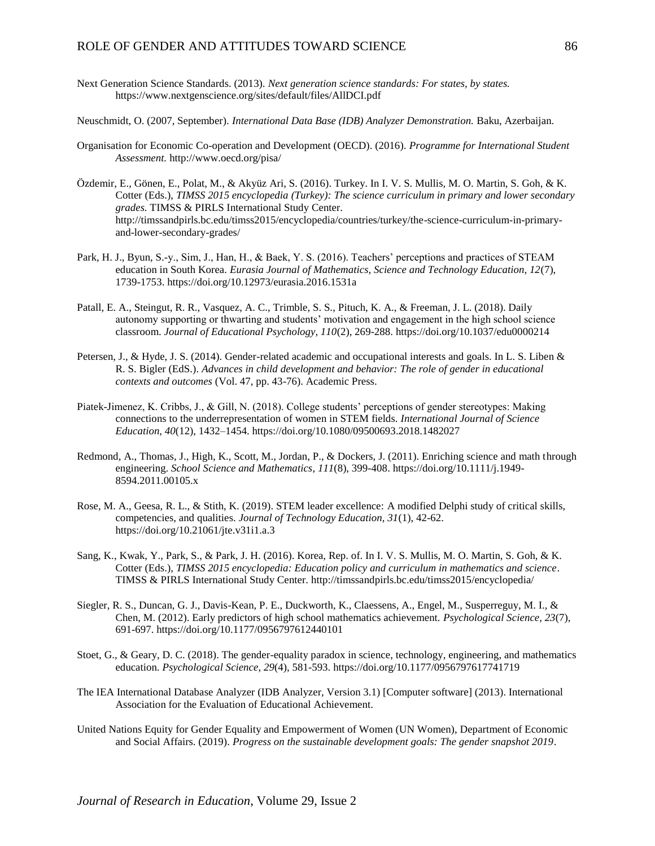#### ROLE OF GENDER AND ATTITUDES TOWARD SCIENCE  $86$

- Next Generation Science Standards. (2013). *Next generation science standards: For states, by states.* https://www.nextgenscience.org/sites/default/files/AllDCI.pdf
- Neuschmidt, O. (2007, September). *International Data Base (IDB) Analyzer Demonstration.* Baku, Azerbaijan.
- Organisation for Economic Co-operation and Development (OECD). (2016). *Programme for International Student Assessment.* <http://www.oecd.org/pisa/>
- Özdemir, E., Gönen, E., Polat, M., & Akyüz Ari, S. (2016). Turkey. In I. V. S. Mullis, M. O. Martin, S. Goh, & K. Cotter (Eds.), *TIMSS 2015 encyclopedia (Turkey): The science curriculum in primary and lower secondary grades.* TIMSS & PIRLS International Study Center. http://timssandpirls.bc.edu/timss2015/encyclopedia/countries/turkey/the-science-curriculum-in-primaryand-lower-secondary-grades/
- Park, H. J., Byun, S.-y., Sim, J., Han, H., & Baek, Y. S. (2016). Teachers' perceptions and practices of STEAM education in South Korea. *Eurasia Journal of Mathematics, Science and Technology Education, 12*(7), 1739-1753. https://doi.org/10.12973/eurasia.2016.1531a
- Patall, E. A., Steingut, R. R., Vasquez, A. C., Trimble, S. S., Pituch, K. A., & Freeman, J. L. (2018). Daily autonomy supporting or thwarting and students' motivation and engagement in the high school science classroom. *Journal of Educational Psychology, 110*(2), 269-288. <https://doi.org/10.1037/edu0000214>
- Petersen, J., & Hyde, J. S. (2014). Gender-related academic and occupational interests and goals. In L. S. Liben & R. S. Bigler (EdS.). *Advances in child development and behavior: The role of gender in educational contexts and outcomes* (Vol. 47, pp. 43-76). Academic Press.
- Piatek-Jimenez, K. Cribbs, J., & Gill, N. (2018). College students' perceptions of gender stereotypes: Making connections to the underrepresentation of women in STEM fields. *International Journal of Science Education, 40*(12), 1432–1454. https://doi.org/10.1080/09500693.2018.1482027
- Redmond, A., Thomas, J., High, K., Scott, M., Jordan, P., & Dockers, J. (2011). Enriching science and math through engineering. *School Science and Mathematics*, *111*(8), 399-408. [https://doi.org/10.1111/j.1949-](https://doi.org/10.1111/j.1949-8594.2011.00105.x) [8594.2011.00105.x](https://doi.org/10.1111/j.1949-8594.2011.00105.x)
- Rose, M. A., Geesa, R. L., & Stith, K. (2019). STEM leader excellence: A modified Delphi study of critical skills, competencies, and qualities. *Journal of Technology Education, 31*(1), 42-62. https://doi.org/10.21061/jte.v31i1.a.3
- Sang, K., Kwak, Y., Park, S., & Park, J. H. (2016). Korea, Rep. of. In I. V. S. Mullis, M. O. Martin, S. Goh, & K. Cotter (Eds.), *TIMSS 2015 encyclopedia: Education policy and curriculum in mathematics and science*. TIMSS & PIRLS International Study Center. http://timssandpirls.bc.edu/timss2015/encyclopedia/
- Siegler, R. S., Duncan, G. J., Davis-Kean, P. E., Duckworth, K., Claessens, A., Engel, M., Susperreguy, M. I., & Chen, M. (2012). Early predictors of high school mathematics achievement. *Psychological Science, 23*(7), 691-697. <https://doi.org/10.1177/0956797612440101>
- Stoet, G., & Geary, D. C. (2018). The gender-equality paradox in science, technology, engineering, and mathematics education. *Psychological Science*, *29*(4), 581-593. <https://doi.org/10.1177/0956797617741719>
- The IEA International Database Analyzer (IDB Analyzer, Version 3.1) [Computer software] (2013). International Association for the Evaluation of Educational Achievement.
- United Nations Equity for Gender Equality and Empowerment of Women (UN Women), Department of Economic and Social Affairs. (2019). *Progress on the sustainable development goals: The gender snapshot 2019*.